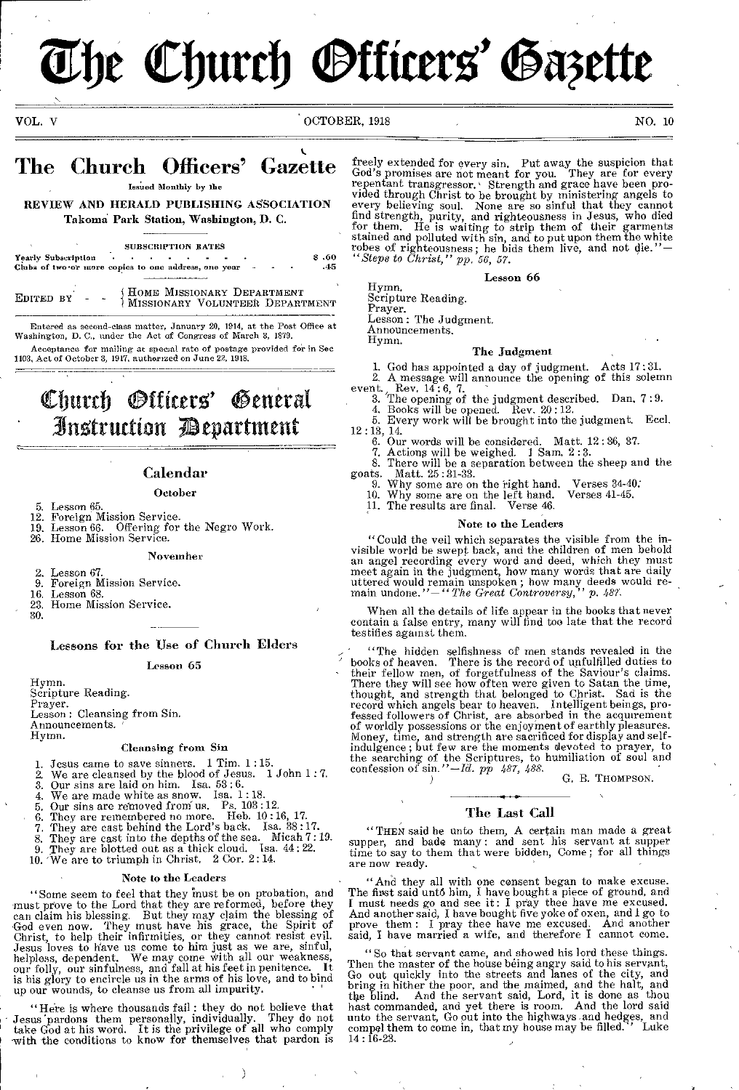# **The Church Officers' Gazette**

VOL. V OCTOBER, 1918 NO. 10

## The Church Officers' Gazette

Issited Monthly by the

## REVIEW AND HERALD PUBLISHING ASSOCIATION Takomd Park Station, Washington, I). C.

SUBSCRIPTION BATES Yearly Subscription • • • - • - - • .60 Clubs of two or more copies to one address, one year -

EDITED  $BY - -$ HOME MISSIONARY DEPARTMENT MISSIONARY VOLUNTEER DEPARTMENT

Entered as second-class matter, January 20, 1914, at the Post Office at Washington, D. C., under the Act of Congress of March 5, 1879. Acceptance for mailing at special rate of postage provided for in Sec

1103, Act of October 3, 1917, authorized on June 22, 1918.

# Church *Otticers*' General • 3n5truction 73epartment

## Calendar

## October

- 5. Lesson 65.<br>12. Foreign M
- Foreign Mission Service.
- 19. Lesson 66. Offering for the Negro Work. 26. Home Mission Service.

#### November

- 2. Lesson 67.<br>9. Foreign M
- 9. Foreign Mission Service.<br>16. Lesson 68.
- 16. Lesson 68.<br>23. Home Miss
- Home Mission Service.

30.

## Lessons for the Use of Church Elders

#### Lesson 65

Hymn. Scripture Reading. Prayer. Lesson : Cleansing from Sin. Announcements. Hymn.

#### Cleansing from Sin

1. Jesus came to save sinners. 1 Tim. 1:15.<br>
2. We are cleansed by the blood of Jesus. 1 John 1:7.<br>
3. Our sins are laid on him. Isa.  $53:6$ .<br>
4. We are made white as snow. Isa. 1:18.<br>
5. Our sins are removed from us. Ps.

- 
- 
- 
- 
- 6. They are remembered no more. Heb. 10 :16, 17.
- 7. They are cast behind the Lord's back. Isa.  $38:17$ .
- 8. They are cast into the depths of the sea. Micah 7: 19. 9. They are blotted out as a thick cloud. Isa. 44 : 22.
- 
- 10. 'We are to triumph in Christ. 2 Cor. 2 : 14.

#### Note to the Leaders

"Some seem to feel that they must be on probation, and must prove to the Lord that they are reformed, before they can claim his blessing. But they may claim the blessing of can claim his blessing. But they may claim the blessing of God even now. They must have his grace, the Spirit of Christ, to help their infirmities, or they cannot resist evil. Jesus loves to have us come to him just as we

"Here is where thousands fail : they do not believe that Jesus 'pardons them personally, individually. They do not take God at his word. It is the privilege of all who comply with the conditions to know for themselves that pardon is

 $\mathcal{E}$ 

freely extended for every sin. Put away the suspicion that God's promises are not meant for you. They are for every repentant transgressor. Strength and grace have been provided through Christ to be brought by ministering angels to every believing soul. None are so sinful that they cannot<br>find strength, purity, and righteousness in Jesus, who died<br>for them. He is waiting to strip them of their garments<br>stained and polluted with sin, and to put upon

#### Lesson 66

Scripture Reading. Prayer. Lesson : The Judgment. Announcements. Hymn.

Hymn.

#### The Judgment

- 1. God has appointed a day of judgment. Acts 17 : 31.
- A message will announce the opening of this solemn
- event. Rev. 14:6, 7.<br>
3. The opening of the judgment described. Dan. 7:9.<br>
4. Books will be opened. Rev. 20:12.<br>
5. Every work will be brought into the judgment. Eccl.
	-
- 12 : 13, 14. 6. Our words will be considered. Matt. 12 : 36, 37.
	-
- 7. Actions will be weighed. I Sam. 2 : 3. 8. There will be a separation between the sheep and the goats. Matt. 25:31-33.
	- 9. Why some are on the right hand. Verses 34-40:
	- 10. Why some are on the left hand. Verses 41-45. 11. The results are final. Verse 46.

#### Note to the Leaders

"Could the veil which separates the visible from the invisible world be swept back, and the children of men behold<br>an angel recording every word and deed, which they must<br>meet again in the judgment, how many words that are uttered would remain unspoken ; how many deeds would re-main undone."-" *The Great Controversy," p. 487.* 

When all the details of life appear in the books that never contain a false entry, many will find too late that the record testifies against them.

' "The hidden selfishness of men stands revealed in the ' books of heaven. There is the record of unfulfilled duties to - their fellow men, of forgetfulness of the Saviour's claims. There they will see how often were given to Satan the time,<br>thought, and strength that belonged to Christ. Sad is the<br>record which angels bear to heaven. Intelligent beings, pro-<br>fessed followers of Christ, are absorbed in Money, time, and strength are sacrificed for display and self-<br>indulgence; but few are the moments devoted to prayer, to<br>the searching of the Scriptures, to humiliation of soul and<br>confession of sin.''-Id. pp 487, 488.

G. B. THOMPSON.

#### The Last Call

"THEN said he unto them, A certain man made a great supper, and bade many: and sent his servant at supper time to say to them that were bidden, Come; for all things are now ready.

"And they all with one consent began to make excuse. The first said unto him, I have bought a piece of ground, and I must needs go and see it: I pray thee have me excused.<br>And another said, I have bought five yoke of oxen, and I go to<br>prove them: I pray thee have me excused.

"So that servant came, and showed his lord these things.<br>Then the master of the house being angry said to his servant,<br>Go out quickly into the streets and lanes of the city, and<br>bring in hither the poor, and the maimed, an hast commanded, and yet there is room. And the lord said unto the servant, Go out into the highways and hedges, and compel them to come in, that my house may be filled. ' Luke 14 :16-23.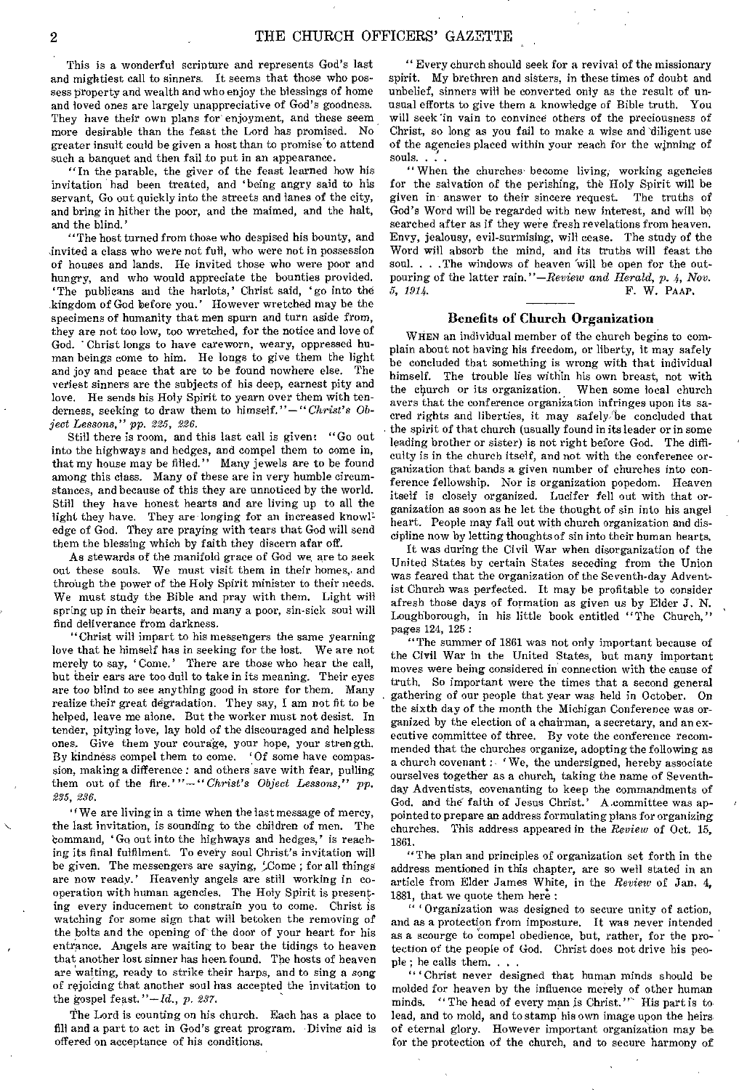This is a wonderful scripture and represents God's last and mightiest call to sinners. It seems that those who possess property and wealth and who enjoy the blessings of home and loved ones are largely unappreciative of God's goodness. They have their own plans for enjoyment, and these seem more desirable than the feast the Lord has promised. No greater insult could be given a host than to promise to attend such a banquet and then fail to put in an appearance.

"In the parable, the giver of the feast learned how his invitation had been treated, and 'being angry said to his servant, Go out quickly into the streets and lanes of the city, and bring in hither the poor, and the maimed, and the halt, and the blind.'

"The host turned from those who despised his bounty, and invited a class who were not full, who were not in possession of houses and lands. He invited those who were poor and hungry, and who would appreciate the bounties provided. 'The publicans and the harlots,' Christ said, 'go into the kingdom of God before you.' However wretched may be the specimens of humanity that men spurn and turn aside from, they are not too low, too wretched, for the notice and love of God. ' Christ longs to have careworn, weary, oppressed human beings come to him. He longs to give them the light and joy and peace that are to be found nowhere else. The veriest sinners are the subjects of his deep, earnest pity and love. He sends his Holy Spirit to yearn over them with tenderness, seeking to draw them to himself."—*"Christ's Object Lessons," pp. 225, 226.* 

Still there is room, and this last call is given: "Go out into the highways and hedges, and compel them to come in, that my house may be filled." Many jewels are to be found among this class. Many of these are in very humble circumstances, and because of this they are unnoticed by the world. Still they have honest hearts and are living up to all the light they have. They are longing for an increased knowledge of God. They are praying with tears that God will send them the blessing which by faith they discern afar off.

As stewards of the manifold grace of God we are to seek out these souls. We must visit them in their homes, and through the power of the Holy Spirit minister to their needs. We must study the Bible and pray with them. Light will spring up in their hearts, and many a poor, sin-sick soul will find deliverance from darkness.

"Christ will impart to his messengers the same yearning love that he himself has in seeking for the lost. We are not merely to say, ' Come.' There are those who hear the call, but their ears are too dull to take in its meaning. Their eyes are too blind to see anything good in store for them. Many realize their great degradation. They say, I am not fit to be helped, leave me alone. But the worker must not desist. In tender, pitying love, lay hold of the discouraged and helpless ones. Give them your courage, your hope, your strength. By kindness compel them to come. "Of some have compassion, making a difference : and others save with fear, pulling them out of the fire.'"— *"Christ's Object Lessons," pp. 235, 236,* 

"We are living in a time when the last message of mercy, the last invitation, is sounding to the children of men. The bommand, ' Go out into the highways and hedges,' is reaching its final fulfilment. To every soul Christ's invitation will be given. The messengers are saying,  $\mathcal{L}$ ome; for all things are now ready.' Heavenly angels are still working in cooperation with human agencies. The Holy Spirit is presenting every inducement to constrain you to come. Christ is watching for some sign that will betoken the removing of the bolts and the opening of the door of your heart for his entrance. Angels are waiting to bear the tidings to heaven that another lost sinner has been found. The hosts of heaven are waiting, ready to strike their harps, and to sing a song of rejoicing that another soul has accepted the invitation to the gospel feast. *"—Id., p. 287.* 

The Lord is counting on his church. Each has a place to fill and a part to act in God's great program. Divine aid is offered on acceptance of his conditions.

" Every church should seek for a revival of the missionary spirit. My brethren and sisters, in these times of doubt and unbelief, sinners will be converted only as the result of unusual efforts to give them a knowledge of Bible truth. You will seek 'in vain to convince others of the preciousness of Christ, so long as you fail to make a wise and 'diligent use of the agencies placed within your reach for the winning of souls. . . .

" When the churches become living, working agencies for the salvation of the perishing, the Holy Spirit will be given in answer to their sincere request. The truths of given in answer to their sincere request. God's Word will be regarded with new interest, and will be searched after as if they were fresh revelations from heaven. Envy, jealousy, evil-surmising, will cease. The study of the Word will absorb the mind, and its truths will feast the soul. . . The windows of heaven 'will be open for the outpouring of the latter rain."—Review and Herald, p. 4, Nov.<br>5, 1914.<br>F. W. PAAP. *5, 1914.* F. W. PAM',

#### Benefits of Church Organization

WHEN an individual member of the church begins to complain about not having his freedom, or liberty, it may safely be concluded that something is wrong with that individual himself. The trouble lies within his own breast, not with the church or its organization. When some local church avers that the conference organization infringes upon its sacred rights and liberties, it may safely/be concluded that the spirit of that church (usually found in its leader or in some leading brother or sister) is not right before God. The difficulty is in the church itself, and not with the conference organization that bands a given number of churches into conference fellowship. Nor is organization popedom. Heaven itself is closely organized. Lucifer fell out with that organization as soon as he let the thought of sin into his angel heart. People may fall out with church organization and discipline now by letting thoughts of sin into their human hearts.

It was during the Civil War when disorganization of the United States by certain States seceding from the Union was feared that the organization of the Seventh-day Adventist Church was perfected. It may be profitable to consider afresh those days of formation as given us by Elder J. N. Loughborough, in his little book entitled "The Church," pages 124, 125 :

"The summer of 1861 was not only important because of the Civil War in the United States, but many important moves were being considered in connection with the cause of truth. So important were the times that a second general gathering of our people that year was held in October. On the sixth day of the month the Michigan Conference was organized by the election of a chairman, a secretary, and an executive committee of three. By vote the conference recommended that the churches organize, adopting the following as a church covenant : 'We, the undersigned, hereby associate ourselves together as a church, taking the name of Seventhday Adventists, covenanting to keep the commandments of God, and the faith of Jesus Christ.' A committee was appointed to prepare an address formulating plans for organizing churches. This address appeared in the *Review* of Oct. 15, 1861.

"The plan and principles of organization set forth in the address mentioned in this chapter, are so well stated in an article from Elder James White, in the *Review* of Jan. 4, 1881, that we quote them here :

" Organization was designed to secure unity of action, and as a protection from imposture. It was never intended as a scourge to compel obedience, but, rather, for the protection of the people of God. Christ does not drive his people ; he calls them. . . .

" ' Christ never designed that human minds should be molded for heaven by the influence merely of other human minds. "The head of every man is Christ." His part is to lead, and to mold, and to stamp his own image upon the heirsof eternal glory. However important organization may be for the protection of the church, and to secure harmony of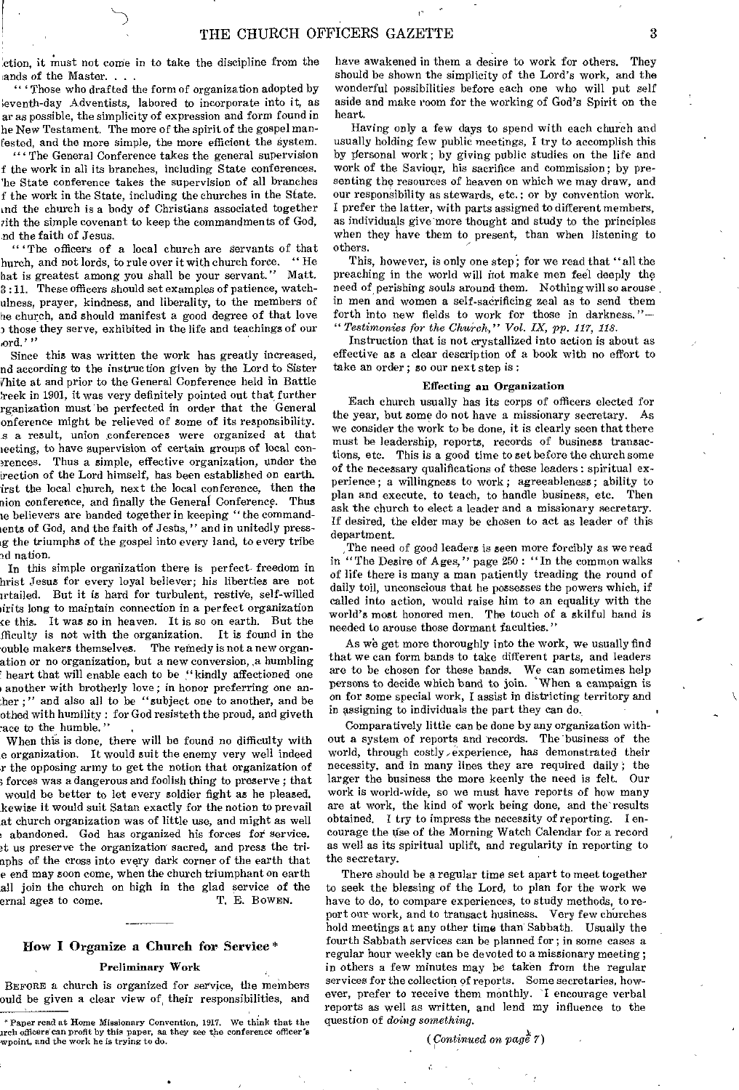ction, it must not come in to take the discipline from the ands of the Master...

" ' Those who drafted the form of organization adopted by •eventh-day Adventists, labored to incorporate into it, as ar as possible, the simplicity of expression and form found in he New Testament. The more of the spirit of the gospel manfested, and the more simple, the more efficient the system.

" ' The General Conference takes the general supervision f the work in all its branches, including State conferences. 'he State conference takes the supervision of all branches f the work in the State, including the churches in the State. ,nd the church is a body of Christians associated together zith the simple covenant to keep the commandments of God, nd the faith of Jesus.

"'The officers of a local church are servants of that hurch, and not lords, to rule over it with church force. " He hat is greatest among you shall be your servant." Matt. 3 :11. These officers should set examples of patience, watchulness, prayer, kindness, and liberality, to the members of he church, and should manifest a good degree of that love those they serve, exhibited in the life and teachings of our ,ord.' "

Since this was written the work has greatly increased, nd according to the instruction given by the Lord to Sister thite at and prior to the General Conference held in Battle ;reek in 1901, it was very definitely pointed out that further rganization must 'be perfected in order that the General onference might be relieved of some of its responsibility. s a result, union conferences were organized at that meting, to have supervision of certain groups of local eonsrences. Thus a simple, effective organization, under the irection of the Lord himself, has been established on earth. irst the local church, next the local conference, then the aion conference, and finally the General Conference. Thus le believers are banded together in keeping " the commandents of God, and the faith of Jesus," and in unitedly pressig the triumphs of the gospel into every land, to every tribe nd nation.

In this simple organization there is perfect freedom in hrist Jesus for every loyal believer; his liberties are not irtailed. But it is hard for turbulent, restive, self-willed hirits long to maintain connection in a perfect organization ce this. It was so in heaven. It is so on earth. But the ffieulty is not with the organization. It is found in the ouble makers themselves. The remedy is not a new organation or no organization, but a new conversion, ,a humbling heart that will enable each to be "kindly affectioned one another with brotherly love ; in honor preferring one anther ;" and also all to be "subject one to another, and be othed with humility : for God resisteth the proud, and giveth ace to the humble.

When this is done, there will be found no difficulty with e organization. It would suit the enemy very well indeed r the opposing army to get the notion that organization of forces was a dangerous and foolish thing to preserve ; that would be better to let every soldier fight as he pleased. kewise it would suit Satan exactly for the notion to prevail at church organization was of little use, and might as well • abandoned. God has organized his forces for service. at us preserve the organization sacred, and press the triaphs of the cross into every dark corner of the earth that e end may soon come, when the church triumphant on earth all join the church on high in the glad service of the ernal ages to come. T. E. Bowen. ernal ages to come.

#### How I Organize a Church for Service \*

#### Preliminary Work

BEFORE a church is organized for service, the members ould be given a clear view of, their responsibilities, and have awakened in them a desire to work for others. They should be shown the simplicity of the Lord's work, and the wonderful possibilities before each one who will put self aside and make room for the working of God's Spirit on the heart.

Having only a few days to spend with each church and usually holding few public meetings, I try to accomplish this by personal work; by giving public studies on the life and work of the Saviour, his sacrifice and commission; by presenting the resources of heaven on which we may draw, and our responsibility as stewards, etc.; or by convention work. I prefer the latter, with parts assigned to different members, as individuals give more thought and study to the principles when they have them to present, than when listening to others.

This, however, is only one step; for we read that "all the preaching in the world will hot make men feel deeply the need of perishing souls around them. Nothing will so arouse in men and women a self-sacrificing zeal as to send them forth into new fields to work for those in darkness."-Testimonies for the Church," Vol. IX, pp. 117, 118.

Instruction that is not crystallized into action is about as effective as a clear description of a book with no effort to take an order ; so our next step is :

#### Effecting an Organization

Each church usually has its corps of officers elected for the year, but some do not have a missionary secretary. As we consider the work to be done, it is clearly seen that there must be leadership, reports, records of business transactions, etc. This is a good time to set before the church some of the necessary qualifications of these leaders: spiritual experience; a willingness to work; agreeableness; ability to plan and execute, to teach, to handle business, etc. Then ask the church to elect a leader and a missionary secretary. If desired, the elder may be chosen to act as leader of this department.

The need of good leaders is seen more forcibly as we read in "The Desire of Ages," page 250: "In the common walks of life there is many a man patiently treading the round of daily toil, unconscious that he possesses the powers which, if called into action, would raise him to an equality with the world's most honored men. The touch of a skilful hand is needed to arouse those dormant faculties."

As we get more thoroughly into the work, we usually find that we can form bands to take different parts, and leaders are to be chosen for these bands. We can sometimes help persons to decide which band to join. 'When a campaign is on for some special work, I assist in districting territory and in assigning to individuals the part they can do.

Comparatively little can be done by any organization without a system of reports and records. The business of the world, through costly /experience, has demonstrated their necessity, and in many lines they are required daily ; the larger the business the more keenly the need is felt. Our work is world-wide, so we must have reports of how many are at work, the kind of work being done, and the'results obtained. I try to impress the necessity of reporting. I encourage the use of the Morning Watch Calendar for a record as well as its spiritual uplift, and regularity in reporting to the secretary.

There should be a regular time set apart to meet together to seek the blessing of the Lord, to plan for the work we have to do, to compare experiences, to study methods, to report our work, and to transact business. Very few churches hold meetings at any other time than Sabbath. Usually the fourth Sabbath services can be planned for; in some cases a regular hour weekly can be devoted to a missionary meeting ; in others a few minutes may be taken from the regular services for the collection of reports. Some secretaries, however, prefer to receive them monthly. I encourage verbal reports as well as written, and lend my influence to the question of *doing something.* 

*(Continued* on page 7)

<sup>\*</sup> Paper read at Home Missionary Convention, 1917. We think that the arch officers can profit by this paper, as they see the conference officer's wpoint, and the work he is trying to do.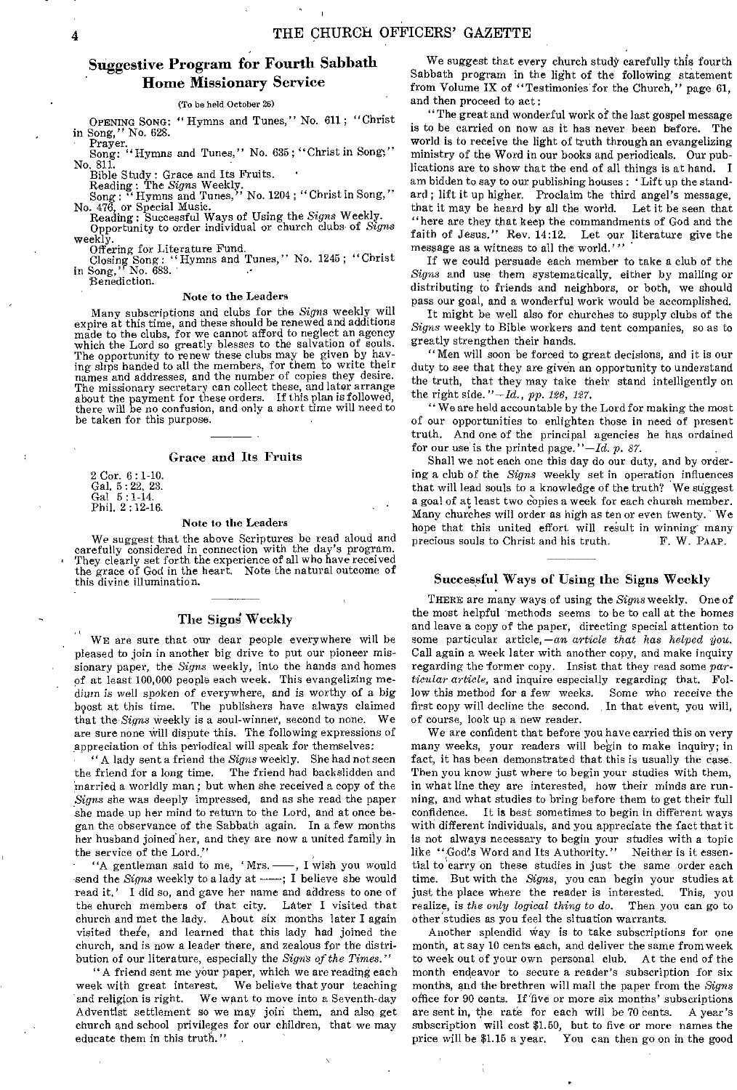## Suggestive Program for Fourth Sabbath Home Missionary Service

#### (To be held October 26)

OPENING SONG: " Hymns and Tunes," No. 611 ; "Christ

in Song," No. 628.<br>
Prayer.<br>
Song: "Hymns and Tunes," No. 635; "Christ in Song;" No. 811. No. 811.<br>Bible Study : Grace and Its Fruits.

Reading: The *Signs* Weekly.<br>Song: "Hymns and Tunes," No. 1204; "Christ in Song," Song : " Hymns and Tunes," No. 1204 ; "Christ in Song," No. 476, or Special Music. Reading: Successful Ways of Using the *Signs* Weekly. Opportunity to order individual or church clubs- of *Signs* 

weekly

Offering for Literature Fund. Closing Song: "Hymns and Tunes," No. 1245; "Christ in Song," No. 683. in Song," No. 6<br>Benediction.

#### Note to the Leaders

Many subscriptions and clubs for the *Signs* weekly will expire at this time, and these should be renewed and additions made to the clubs, for we cannot afford to neglect an agency which the Lord so greatly blesses to the salvation of souls. The opportunity to renew these clubs may be given by hav-ing slips handed to all the members, for them to write their names and addresses, and the number of copies they desire. The missionary secretary can collect these, and later arrange about the payment for these orders. If this plan is followed, there will be no confusion, and only a short time will need to be taken for this purpose.

#### Grace and Its Fruits

2 Cor. 6 : 1-10. Gal. 5 : 22, 23. Gal 5 : 1-14. Phil. 2 : 12-16.

#### Note to the Leaders

We suggest that the above Scriptures be read aloud and carefully considered in connection with the day's program. They clearly set forth the experience of all who have received the grace of God in the heart. Note the natural outcome of this divine illumination.

## The Signs Weekly

WE are sure that our dear people everywhere will be pleased to join in another big drive to put our pioneer missionary paper, the *Signs* weekly, into the hands and homes of at least 100,000 people each week. This evangelizing medium is well spoken of everywhere, and is worthy of a big boost at this time. The publishers have always claimed that the *Signs* weekly is a soul-winner, second to none. We are sure none will dispute this. The following expressions of appreciation of this periodical will speak for themselves:

"A lady sent a friend the *Signs* weekly. She had not seen the friend for a long time. The friend had backslidden and married a worldly man; but when she received a copy of the *Signs* she was deeply impressed, and as she read the paper she made up her mind to return to the Lord, and at once began the observance of the Sabbath again. In a few months her husband joined her, and they are now a united family in the service of the Lord."

"A gentleman said to me, 'Mrs. - , I wish you would send the *Signs* weekly to a lady at -- ; I believe she would read it.' I did so, and gave her name and address to one of the church members of that city. Later I visited that church and met the lady. About six months later I again visited there, and learned that this lady had joined the church, and is now a leader there, and zealous for the distribution of our literature, especially the *Signs of the Times."* 

"A friend sent me your paper, which we are reading each week with great interest. We believe that your teaching and religion is right. We want to move into a Seventh-day Adventist settlement so we may join them, and also get church and school privileges for our children, that we may educate them in this truth."

We suggest that every church study carefully this fourth Sabbath program in the light of the following statement from Volume IX of "Testimonies for the Church," page 61, and then proceed to act:

"The great and wonderful work of the last gospel message is to be carried on now as it has never been before. The world is to receive the light of truth through an evangelizing ministry of the Word in our books and periodicals. Our publications are to show that the end of all things is at hand. I am bidden to say to our publishing houses : 'Lift up the standard ; lift it up higher. Proclaim the third angel's message, that it may be heard by all the world. Let it be seen that "here are they that keep the commandments of God and the faith of Jesus." Rev. 14:12. Let our literature give the message as a witness to all the world.'''

If we could persuade each member to take a club of the *Signs* and use them systematically, either by mailing or distributing to friends and neighbors, or both, we should pass our goal, and a wonderful work would be accomplished.

It might be well also for churches to supply clubs of the *Signs* weekly to Bible workers and tent companies, so as to greatly strengthen their hands.

"Men will soon be forced to great decisions, and it is our duty to see that they are given an opportunity to understand the truth, that they may take their stand intelligently on the right side. *"—Id., pp. 126, 127.* 

" We are held accountable by the Lord for making the most of our opportunities to enlighten those in need of present truth. And one of the principal agencies he has ordained for our use is the printed page."—Id. *p. 87.* 

Shall we not each one this day do our duty, and by ordering a club of the *Signs* weekly set in operation influences that will lead souls to a knowledge of the truth? We suggest a goal of at least two copies a week for each church member. Many churches will order as high as ten or even twenty. We hope that this united effort will result in winning many<br>precious souls to Christ and his truth. F. W. PAAP. precious souls to Christ and his truth.

#### Successful Ways of Using the Signs Weekly

THERE are many ways of using the *Signs* weekly. One of the most helpful methods seems to be to call at the homes and leave a copy of the paper, directing special attention to some particular article, —an article that has helped you. Call again a week later with another copy, and make inquiry regarding the former copy. Insist that they read some par*ticular article,* and inquire especially regarding that. Follow this method for a few *weeks.* Some who receive the first copy will decline the second. In that event, you will, of course, look up a new reader.

We are confident that before you have carried this on very many weeks, your readers will begin to make inquiry; in fact, it has been demonstrated that this is usually the case. Then you know just where to begin your studies with them, in what line they are interested, how their minds are running, and what studies to bring before them to get their full confidence. It is best sometimes to begin in different ways with different individuals, and you appreciate the fact that it is not always necessary to begin your studies with a topic like "God's Word and Its Authority." Neither is it essential to carry on these studies in just the same order each time. But with the *Signs,* you can begin your studies at just the place where the reader is interested. This, you realize, is the only logical thing to do. Then you can go to realize, is the only logical thing to do. other studies as you feel the situation warrants.

Another splendid Way is to take subscriptions for one month, at say 10 cents each, and deliver the same from week to week out of your own personal club. At the end of the month endeavor to secure a reader's subscription for six months, and the brethren will mail the paper from the *Signs*  office for 90 cente. If five or more six months' subscriptions are sent in, the rate for each will be 70 cents. A year's subscription will cost \$1.50, but to five or more names the price will be \$1.15 a year. You can then go on in the good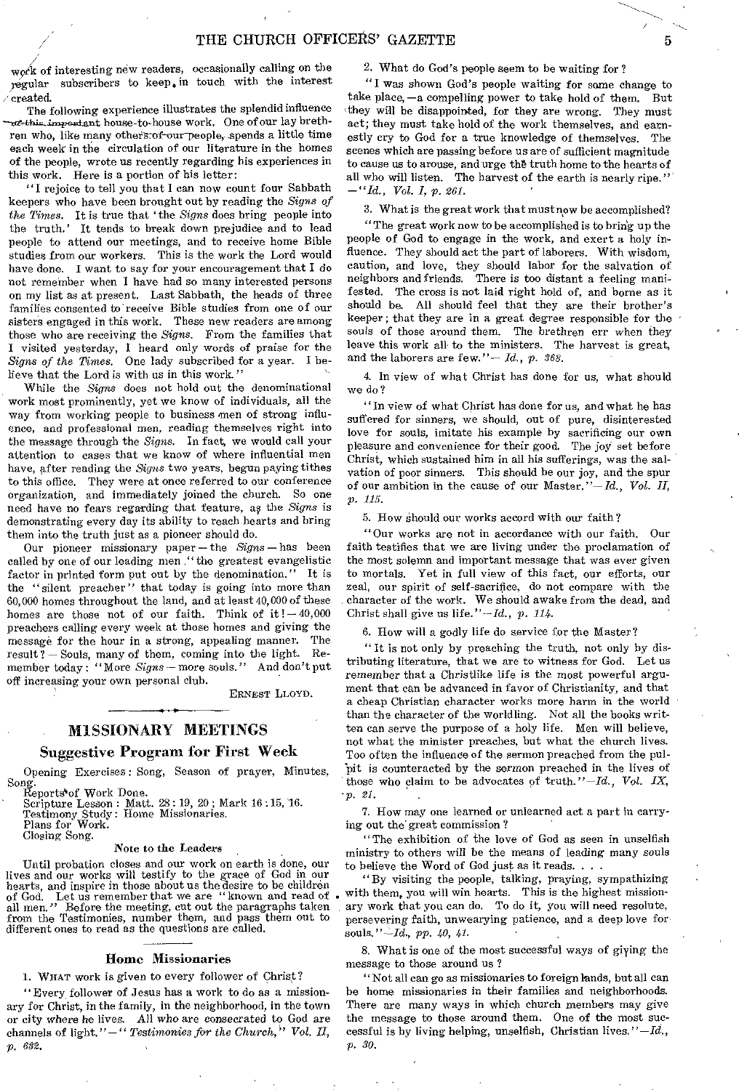work of interesting new readers, occasionally calling on the iegular subscribers to keep, in touch with the interest /created.

The following experience illustrates the splendid influence  $\alpha$ <sup>2</sup>this... important house-to-house work. One of our lay brethren who, like many others of our people, spends a little time each week in the circulation of our literature in the homes of the people, wrote us recently regarding his experiences in this work. Here is a portion of his letter:

"I rejoice to tell you that I can now count four Sabbath keepers who have been brought out by reading the *Signs of the Times.* It is true that 'the *Signs* does bring people into the truth.' It tends to break down prejudice and to lead people to attend our meetings, and to receive home Bible studies from our workers. This is the work the Lord would have done. I want to say for your encouragement that I do not remember when I have had so many interested persons on my list as at present. Last Sabbath, the heads of three families consented to receive Bible studies from one of our sisters engaged in this work. These new readers are among those who are receiving the *Signs.* From the families that I visited yesterday, I heard only words of praise for the *Signs of the Times.* One lady subscribed for a year. I believe that the Lord is with us in this work."

While the *Signs* does not hold out the denominational work most prominently, yet we know of individuals, all the way from working people to business men of strong influence, and professional men, reading themselves right into the message through the *Signs.* In fact, we would call your attention to cases that we know of where influential men have, after reading the *Signs* two years, begun paying tithes to this office. They were at once referred to our conference organization, and immediately joined the church. So one need have no fears regarding that feature, as the *Signs* is demonstrating every day its ability to reach hearts and bring them into the truth just as a pioneer should do.

Our pioneer missionary paper — the *Signs — has* been called by one of our leading men ,"the greatest evangelistic factor in printed form put out by the denomination." It is the "silent preacher" that today is going into more than 60,000 homes throughout the land, and at least 40,000 of these homes are those not of our faith. Think of  $it$ !  $-40,000$ preachers calling every week at those homes and giving the message for the hour in a strong, appealing manner. The result? — Souls, many of them, coming into the light. Remember today: "More *Signs—* more souls." And don't put off increasing your own personal club.

ERNEST LLOYD.

## MISSIONARY MEETINGS

#### Suggestive Program for First Week

Opening Exercises: Song, Season of prayer, Minutes, Song. Reports'of Work Done.

Scripture Lesson : Matt. 28 : 19, 20 ; Mark 16 :15,16. Testimony Study: Home Missionaries. Plans for Work.

Closing Song.

#### Note to the Leaders

Until probation closes and our work on earth is done, our lives and our works will testify to the grace of God in our hearts, and inspire in those about us the desire to be children<br>of God. Let us remember that we are "known and read of<br>all men." Before the meeting, cut out the paragraphs taken<br>from the Testimonies, number them, and pass different ones to read as the questions are called,

#### Home Missionaries

1. WHAT work is given to every follower of Christ?

"Every follower of Jesus has a work to do as a missionary for Christ, in the family, in the neighborhood, in the town or city where he lives. All who are consecrated to God are channels of light."—" *Testimonies for the Church," Vol. II, p. 632.* 

#### 2. What do God's people seem to be waiting for?

"I was shown God's people waiting for some change to take place, —a compelling power to take hold of them. But they will be disappointed, for they are wrong. They must act; they must take hold of the work themselves, and earnestly cry to God for a true knowledge of themselves. The scenes which are passing before us are of sufficient magnitude to cause us to arouse, and urge the truth home to the hearts of all who will listen. The harvest of the earth is nearly ripe." *—"Id., Vol. I, p. 261.* 

3. What is the great work that must now be accomplished?

"The great work now to be accomplished is to brin'g up the people of God to engage in the work, and exert a holy influence. They should act the part of laborers. With wisdom, caution, and love, they should labor for the salvation of neighbors and friends. There is too distant a feeling manifested. The cross is not laid right hold of, and borne as it should be. All should feel that they are their brother's keeper; that they are in a great degree responsible for the souls of those around them. The brethren err when they leave this work all. to the ministers. The harvest is great, and the laborers are few."— *Id.,* p. *368.* 

4. In view of what Christ has done for us, what should we do?

"In view of what Christ has done for us, and what he has suffered for sinners, we should, out of pure, disinterested love for souls, imitate his example by sacrificing our own pleasure and convenience for their good. The joy set before Christ, which sustained him in all his sufferings, was the salvation of poor sinners. This should be our joy, and the spur of our ambition in the cause of our Master."—Id., *Vol. II, p. 115.* 

5. How Should our works accord with our faith?

"Our works are not in accordance with our faith. Our faith testifies that we are living under the proclamation of the most solemn and important message that *was* ever given to mortals. Yet in full view of this fact, our efforts, our zeal, our spirit of self-sacrifice, do not compare with the character of the work. We should awake from the dead, and Christ shall give us life."—Id., *p. 114.* 

6. How will a godly life do service for the Master?

" It is not only by preaching the truth, not only by distributing literature, that we are to witness for God. Let us remember that a Christlike life is the most powerful argument that can be advanced in favor of Christianity, and that a cheap Christian character works more harm in the world than the character of the worldling. Not all the books written can serve the purpose of a holy life. Men will believe, not what the minister preaches, but what the church lives. Too often the influence of the sermon preached from the pulpit is counteracted by the sermon preached in the lives of those who claim to be advocates of truth."—Id., *Vol. IX, p. 21.* 

7. How may one learned or unlearned act a part in carrying out the great commission ?

"The exhibition of the love of God as seen in unselfish ministry to others will be the means of leading many souls to believe the Word of God just as it reads. . . .

"By visiting the people, talking, praying, sympathizing with them, you will win hearts. This is the highest missionary work that you can do. To do it, you will need resolute, persevering faith, unwearying patience, and a deep love for souls." *—/d., pp. 40, 41.* 

8. What is one of the most successful ways of giying the message to those around us ?

"Not all can go as missionaries to foreign lands, but all can be home missionaries in their families and neighborhoods. There are many ways in which church members may give the message to those around them. One of the most successful is by living helping, unselfish, Christian lives. *"—Id., p. 30.*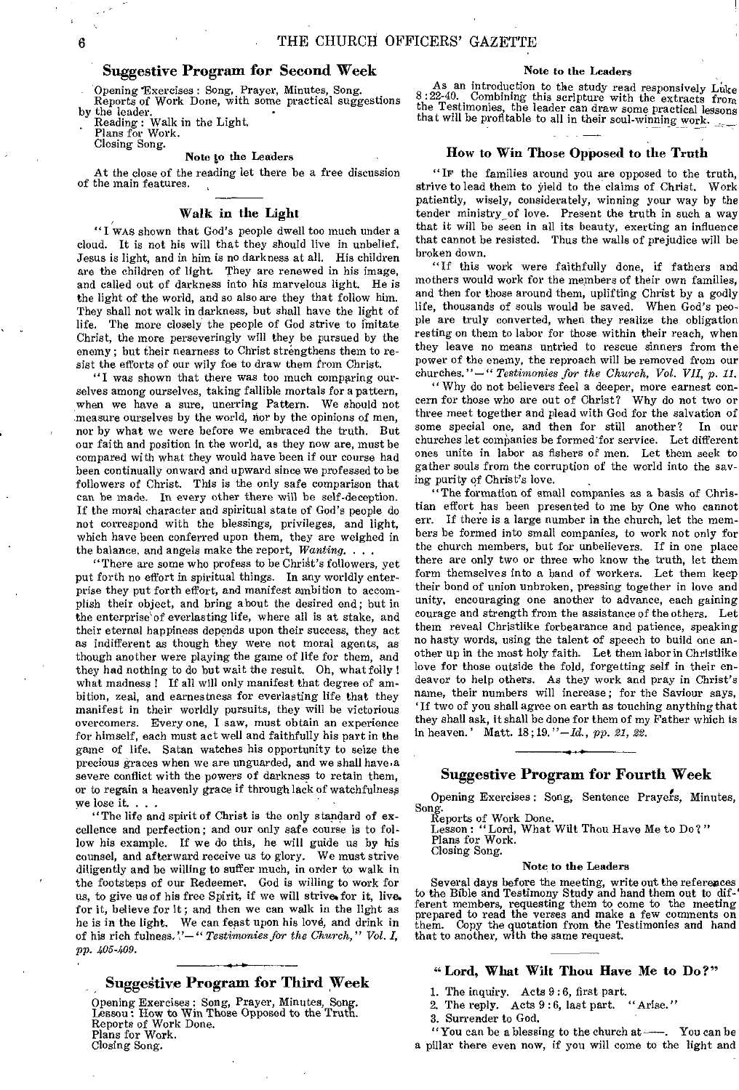## Suggestive Program for Second Week

Opening 'Exercises : Song, Prayer, Minutes, Song. Reports of Work Done, with some practical suggestions

by the leader. Reading : Walk in the Light.

Plans for Work. Closing Song.

#### Note to the Leaders

At the close of the reading let there be a free discussion of the main features.

#### Walk in the Light

"I WAS shown that God's people dwell too much under a cloud. It is not his will that they should live in unbelief. Jesus is light, and in him is no darkness at all. His children are the children of light. They are renewed in his image, and called out of darkness into his marvelous light. He is the light of the world, and so also are they that follow him. They shall not walk in darkness, but shall have the light of life. The more closely the people of God strive to imitate Christ, the more perseveringly will they be pursued by the enemy; but their nearness to Christ strengthens them to resist the efforts of our wily foe to draw them from Christ.

"I was shown that there was too much comparing ourselves among ourselves, taking fallible mortals for a pattern, when we have a sure, unerring Pattern. We should not measure ourselves by the world, nor by the opinions of men, nor by what we were before we embraced the truth. But our faith and position in the world, as they now are, must be compared with what they would have been if our course had been continually onward and upward since we professed to be followers of Christ. This is the only safe comparison that can be made. In every other there will be self-deception. If the moral character and spiritual state of God's people do not correspond with the blessings, privileges, and light, which have been conferred upon them, they are weighed in the balance, and angels make the report, *Wanting. . . .* 

"There are some who profess to be Christ's followers, yet put forth no effort in spiritual things. In any worldly enterprise they put forth effort, and manifest ambition to accomplish their object, and bring about the desired end; but in the enterprise`of everlasting life, where all is at stake, and their eternal happiness depends upon their success, they act as indifferent as though they were not moral agents, as though another were playing the game of life for them, and they had nothing to do but wait the result. Oh, what folly ! what madness ! If all will only manifest that degree of ambition, zeal, and earnestness for everlasting life that they manifest in their worldly pursuits, they will be victorious overcomers. Every one, I saw, must obtain an experience for himself, each must act well and faithfully his part in the game of life. Satan watches his opportunity to seize the precious graces when we are unguarded, and we shall have,a severe conflict with the powers of darkness to retain them, or to regain a heavenly grace if through lack of watchfulness we lose it. . .

"The life and spirit of Christ is the only standard of excellence and perfection; and our only safe course is to follow his example. If we do this, he will guide us by his counsel, and afterward receive us to glory. We must strive diligently and be willing to suffer much, in order to walk in the footsteps of our Redeemer. God is willing to work for us, to give us of his free Spirit, if we will strive for it, live. for it, believe for it ; and then we can walk in the light as he is in the light. We can feast upon his love, and drink in of his rich fulness.''-" *Testimonies for the Church*," Vol. I, *PP. 405-409.* 

## **Suggestive Program for Third Week**

Opening Exercises : Song, Prayer, Minutes, Song. Lesson ; How to Win Those Opposed to the Truth. Reports of Work Done. Plans for Work. Closing Song.

#### Note to the Leaders

As an introduction to the study read responsively Luke  $8:22-40$ . Combining this scripture with the extracts from the Testimonies, the leader can draw some practical lessons that will be profitable to all in their soul-winning work.

## How to Win Those Opposed to the Truth

"IF' the families around you are opposed to the truth, strive to lead them to yield to the claims of Christ. Work patiently, wisely, considerately, winning your way by the tender ministry\_of love. Present the truth in such a way that it will be seen in all its beauty, exerting an influence that cannot be resisted. Thus the walls of prejudice will be broken down.

"If this work were faithfully done, if fathers and mothers would work for the members of their own families, and then for those around them, uplifting Christ by a godly life, thousands of souls would be saved. When God's people are truly converted, when they realize the obligation resting on them to labor for those within their reach, when they leave no means untried to rescue sinners from the power of the enemy, the reproach will be removed from our churches."—" *Testimonies for the Church, Vol. VII, p. 11.* 

"Why do not believers feel a deeper, more earnest concern for those who are out of Christ? Why do not two or three meet together and plead with God for the salvation of some special one, and then for still another? In our some special one, and then for still another? churches let companies be formed'for service. Let different ones unite in labor as fishers of men. Let them seek to gather souls from the corruption of the world into the saving purity of Christ's love.

"The formation of small companies as a basis of Christian effort has been presented to me by One who cannot err. If there is a large number in the church, let the members be formed into small companies, to work not only for the church members, but for unbelievers. If in one place there are only two or three who know the truth, let them form themselves into a band of workers. Let them keep their bond of union unbroken, pressing together in love and unity, encouraging one another to advance, each gaining courage and strength from the assistance of the others. Let them reveal Christlike forbearance and patience, speaking no hasty words, using the talent of speech to build one another up in the most holy faith. Let them labor in Christlike love for those outside the fold, forgetting self in their endeavor to help others. As they work and pray in Christ's name, their numbers will increase; for the Saviour says, 'If two of you shall agree on earth as touching anything that they shall ask, it shall be done for them of my Father which is in heaven.' Matt. 18 ;19. *"—Id., pp. 21, 22.* 

## Suggestive Program for Fourth Week

Opening Exercises : Song, Sentence Prayefs, Minutes,

Song. Reports of Work Done. Lesson: "Lord, What Wilt Thou Have Me to Do?" Plans for Work. Closing Song.

#### Note to the Leaders

Several days before the meeting, write out the references to the Bible and Testimony Study and hand them out to dif-' ferent members, requesting them to come to the meeting prepared to read the verses and make a few comments on them. Copy the quotation from the Testimonies and hand that to another, with the same request.

#### "Lord, What Wilt Thou Have Me to Do?"

- 1. The inquiry. Acts 9 :6, first part.
- 2. The reply. Acts 9:6, last part. "Arise."
- 3. Surrender to God.
- "You can be a blessing to the church at—. You can be a pillar there even now, if you will come to the light and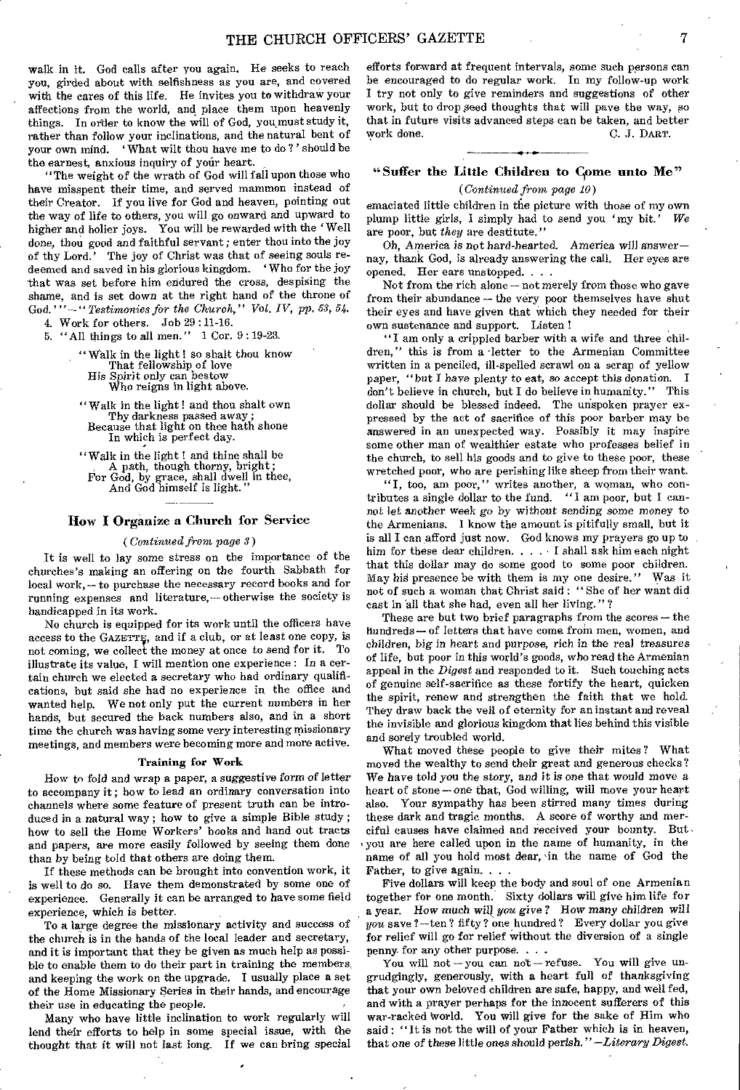walk in it. God calls after you again. He seeks to reach you, girded about with selfishness as you are, and covered with the cares of this life. He invites you to withdraw your affections from the world, and place them upon heavenly things. In order to know the will of God, you must study it, rather than follow your inclinations, and the natural bent of your own mind. ' What wilt thou have me to do ? ' should be the earnest, anxious inquiry of your heart.

"The weight of the wrath of God will fall upon those who have misspent their time, and served mammon instead of their Creator. If you live for God and heaven, pointing out the way of life to others, you will go onward and upward to higher and holier joys. You will be rewarded with the 'Well done, thou good and faithful servant; enter thou into the joy of thy Lord.' The joy of Christ was that of seeing souls redeemed and saved in his glorious kingdom. ' Who for the joy that was set before him endured the cross, despising the shame, and is set down at the right hand of the throne of God.'" - " *Testimonies for the Church*," Vol. IV, pp. 53, 54.

4. Work for others. Job 29 : 11-16. 5. "All things to all men." 1 Cor. 9 : 19-23.

> "Walk in the light ! so shalt thou know That fellowship of love His Spirit only can bestow Who reigns in light above.

"Walk in the light! and thou shalt own Thy darkness passed away ; Because that light on thee hath shone In which is perfect day.

"Walk in the light! and thine shall be A path, though thorny, bright; For God, by grace, shall dwell in thee, And God himself is light."

## How I Organize a Church for Service

#### *(Continued from page 3)*

It is well to lay some stress on the importance of the churches's making an offering on the fourth Sabbath for local work,— to purchase the necessary record books and for running expenses and literature, — otherwise the society is handicapped in its work.

No church is equipped for its work until the officers have access to the GAZETTE, and if a club, or at least one copy, is not coming, we collect the money at once to send for it. To illustrate its value, I will mention one experience : In a certain church we elected a secretary who had ordinary qualifications, but said she had no experience in the office and wanted help. We not only put the current numbers in her hands, but secured the back numbers also, and in a short time the church was having some very interesting missionary meetings, and members were becoming more and more active.

#### Training for Work

How to fold and wrap a paper, a suggestive *form of* letter to accompany it ; how to lead an ordinary conversation into channels where some feature of present truth can be introduced in a natural way ; how to give a simple Bible study ; how to sell the Home Workers' books and hand out tracts and papers, are more easily followed by seeing them done than by being told that others are doing them.

If these methods can be brought into convention work, it is well to do so. Have them demonstrated by some one of experience. Generally it can be arranged to have some field experience, which is better.

To a large degree the missionary activity and success of the church is in the hands of the local leader and secretary, and it is important that they be given as much help as possible to enable them to do their part in training the members, and keeping the work on the upgrade. I usually place a set of the Home Missionary Series in their hands, and encourage their use in educating the people.

Many who have little inclination to work regularly will lend their efforts to help in some special issue, with the thought that it will not last long. If we can bring special

efforts forward at frequent intervals, some such persons can be encouraged to do regular work. In my follow-up work I try not only to give reminders and suggestions of other work, but to drop peed thoughts that will pave the *way, so*  that in future visits advanced steps can be taken, and better work done. C. J. DART.

## "Suffer the Little Children to Come unto Me" *(Continued from page 10)*

emaciated little children in the picture with those of my own plump little girls, I simply had to send you 'my bit.' *We*  are poor, but *they* are destitute."

Oh, America is not hard-hearted. America will answer nay, thank God, is already answering the call. Her eyes are opened. Her ears unstopped. . . .

Not from the rich alone — not merely from those who gave from their abundance — the very poor themselves have shut their eyes and have given that which they needed for their own sustenance and support. Listen !

"I am only a crippled barber with a wife and three children," this is from a letter to the Armenian Committee written in a penciled, ill-spelled scrawl on a scrap of yellow paper, "but I have plenty to eat, so accept this donation. I don't believe in church, but I do believe in humanity." This dollar should be blessed indeed. The unspoken prayer expressed by the act of sacrifice of this poor barber may be answered in an unexpected way. Possibly it may inspire some other man of wealthier estate who professes belief in the church, to sell his goods and to give to these poor, these wretched poor, who are perishing like sheep from their want.

"I, too, am poor," writes another, a woman, who contributes a single dollar to the fund. "I am poor, but I cannot *let another* week *go* by without sending some money to the Armenians. 1 know the amount is pitifully small, but it is all I can afford just now. God knows my prayers go up to him for these dear children. . . . I shall ask him each night that this dollar may do some good to some poor children. May his presence be with them is my one desire." Was it not of such a woman that Christ said : "She of her want did cast in 'all that she had, even all her living."?

These are but two brief paragraphs from the scores — the hundreds — of letters that have come from men, women, and children, big *in* heart and *purpose, rich in* the real treasures of life, but poor in this world's goods, who read the Armenian appeal in the *Digest* and responded to it. Such touching acts of genuine self-sacrifice as these fortify the heart, quicken the spirit, renew and strengthen the faith that we hold. They draw back the veil of eternity for an instant and reveal the invisible and glorious kingdom that lies behind this visible and sorely troubled world.

What moved these people to give their mites? What moved the wealthy to send their great and generous checks? We have told *you* the *story, and it is* one that would move a heart of stone — one that, God willing, will move your heart also. Your sympathy has been stirred many times during these dark and tragic months. A score of worthy and merciful causes have claimed and received your bounty. But. you are here called upon in the name of humanity, in the name of all you hold most dear, 'in the name of God the Father, to give again. .

Five dollars will keep the body and soul of one Armenian together for one month. Sixty dollars will give him life for a year. How much *wilt you give?* How many children will  $you$  save ?-ten ? fifty ? one hundred ? Every dollar you give for relief will go for relief without the diversion of a single penny- for any other purpose. . . .

You will not—you can not — refuse. You will give ungrudgingly, generously, with a heart full of thanksgiving that your own beloved children are safe, happy, and well fed, and with a prayer perhaps for the innocent sufferers of this war-racked World. You will give for the sake of Him who said : "It is not the will of your Father which is in heaven, that one of these little *ones should perish." —Literary Digest.*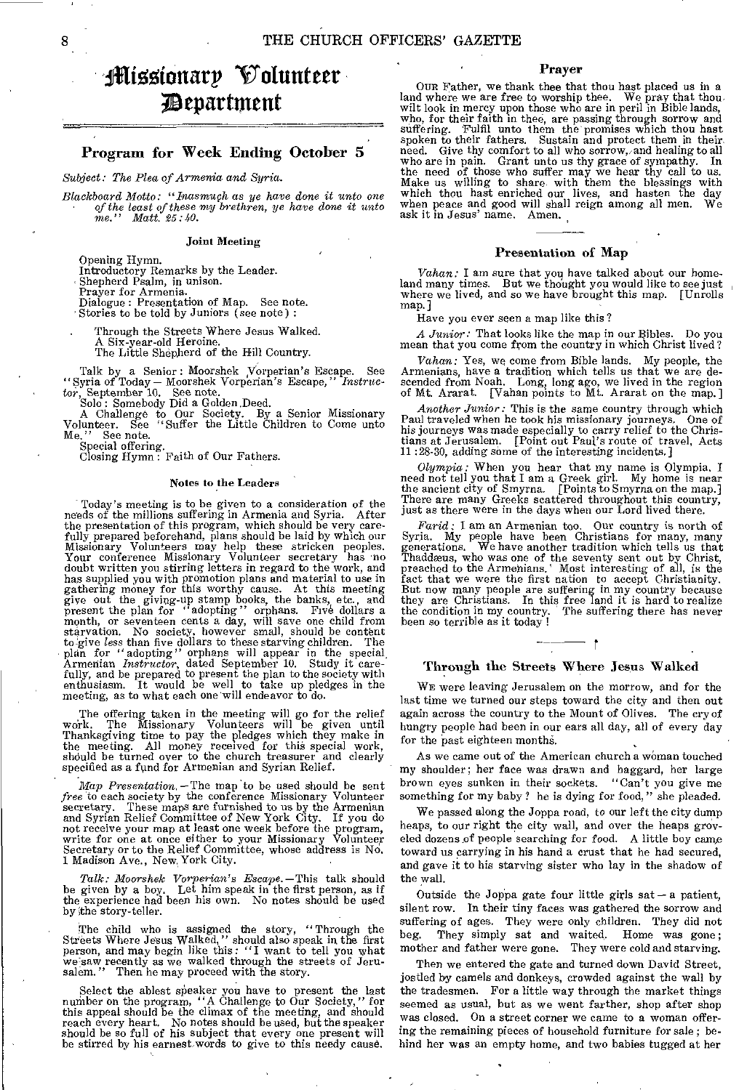# ithortottarp Votuntetr fit eparttnent

## Program for Week Ending October 5

*Subject: The Plea of Armenia and Syria.* 

*Blackboard Motto: "Inasmuch as ye have done it unto one of the least of these my brethren, ye have done it unto me." Matt. 25:40.* 

## Joint Meeting

Opening Hymn.

Introductory Remarks by the Leader. Shepherd Psalm, in unison. Prayer for Armenia. Dialogue : Presentation of Map. See note.

Stories to be told by Juniors *(see* note) :

Through the Streets Where Jesus Walked.

A Six-year-old Heroine. The Little Shepherd of the Hill Country.

Talk by a Senior: Moorshek ,Vorperian's Escape. See "Syria of Today — Moorshek Vorperian's Escape," *Instructor,* September 10. See note.

Solo: Somebody Did a Golden Deed. A Challenge to Our Society. By a Senior Missionary Volunteer. See "Suffer the Little Children to Come unto Me." See note. Special offering. Closing Hymn : Faith of Our Fathers.

#### Notes to the Leaders

Today's meeting is to be given to a consideration of the needs of the millions suffering in Armenia and Syria. the presentation of this program, which should be very care-<br>fully prepared beforehand, plans should be laid by which our<br>Missionary Volunteers may help these stricken peoples.<br>Your conference Missionary Volunteer secretar doubt written you stirring letters in regard to the work, and<br>has supplied you with promotion plans and material to use in<br>gathering money for this worthy cause. At this meeting<br>give out the giving-up stamp books, the bank to give less than five dollars to these starving children. The plan for "adopting" orphans will appear in the special Armenian *Instructor*, dated September 10. Study it care-fully, and be prepared to present the plan to t

The offering taken in the meeting will go for the relief work. The Missionary Volunteers will be given until Thanksgiving time to pay the pledges which they make in the meeting. All money received for this special work, sh

Map Presentation. - The map to be used should be sent free to each society by the conference Missionary Volunteer secretary. These maps are furnished to us by the Armenian and Syrian Relief Committee of New York City. If y not receive your map at least one week before the program, write for one at once either to your Missionary Volunteer Secretary or to the Relief Committee, whose address is No. 1 Madison Ave., New, York City.

Talk: Moorshek Vorperian's Escape. - This talk should be given by a boy. Let him speak in the first person, as if the experience had been his own. No notes should be used by the story-teller.

The child who is assigned the story, "Through the Streets Where Jesus Walked," should also speak in the first person, and may begin like this: "I want to tell you what we saw recently as we walked through the streets of Jeru-salem." Then he may proceed with the story.

Select the ablest speaker you have to present the last<br>number on the program, "A Challenge to Our Society," for<br>this appeal should be the climax of the meeting, and should<br>reach every heart. No notes should be used, but th

#### Prayer

OUR Father, we thank thee that thou hast placed us in a land where we are free to worship thee. We pray that thou wilt look in mercy upon those who are in peril in Bible lands, who, for their faith in thee, are passing through sorrow and suffering. Fulfil unto them the promises which thou hast spoken to their fathers. Sustain and protect them in their<br>need. Give thy comfort to all who sorrow, and healing to all<br>who are in pain. Grant unto us thy grace of sympathy. In<br>the need of those who suffer may we hear thy ask it in Jesus' name. Amen.

#### Presentation of Map

*Vahan:* I am sure that you have talked about our home-<br>land many times. But we thought you would like to see just<br>where we lived, and so we have brought this map. [Unrolls map.]

Have you ever seen a map like this?

*A Junior:* That looks like the map in our Bibles. Do you mean that you come from the country in which Christ lived?

Vahan: Yes, we come from Bible lands. My people, the Armenians, have a tradition which tells us that we are descended from Noah. Long, long ago, we lived in the region of Mt. Ararat. [Vahan points to Mt. Ararat on the map.

*Another Junior:* This is the same country through which Paul traveled when he took his missionary journeys, One of his journeys was made especially to carry relief to the Chris-tians at Jerusalem. [Point out Paul's route of travel, Acts 11 :28-30, adding some of the interesting incidents.]

 $Olympia$ : When you hear that my name is Olympia, I need not tell you that I am a Greek girl. My home is near the ancient city of Smyrna. [Points to Smyrna on the map.] There are many Greeks scattered throughout this country,

Farid: I am an Armenian too. Our country is north of Syria. My people have been Christians for many, many generations. We have another tradition which tells us that Thaddæus, who was one of the seventy sent out by Christ, the condition in my country. The suffering there has never the condition in my country.<br>been so terrible as it today !

## Through the Streets Where Jesus Walked

ा

WE were leaving Jerusalem on the morrow, and for the last time we turned our steps toward the city and then out again across the country to the Mount of Olives. The cry of hungry people had been in our ears all day, all of every day for the past eighteen months.

As we came out of the American church a woman touched my shoulder; her face was drawn and haggard, her large brown eyes sunken in their sockets. "Can't you give me something for my baby? he is dying for food," she pleaded.

We passed along the Joppa road, to our left the city dump heaps, to our right the city wall, and over the heaps groveled dozens of people searching for food. A little boy came toward us carrying in his hand a crust that he had secured, and gave it to his starving sister who lay in the shadow of the wall.

Outside the Joppa gate four little girls sat — a patient, silent row. In their tiny faces was gathered the sorrow and suffering of ages. They were only children. They did not<br>beg. They simply sat and waited. Home was gone: They simply sat and waited. Home was gone; mother and father were gone. They were cold and starving.

Then we entered the gate and turned down David Street, jostled by camels and donkeys, crowded against the wall by the tradesmen. For a little way through the market things seemed as usual, but as we went farther, shop after shop was closed. On a street corner we came to a woman offering the remaining pieces of household furniture for sale ; behind her was an empty home, and two babies tugged at her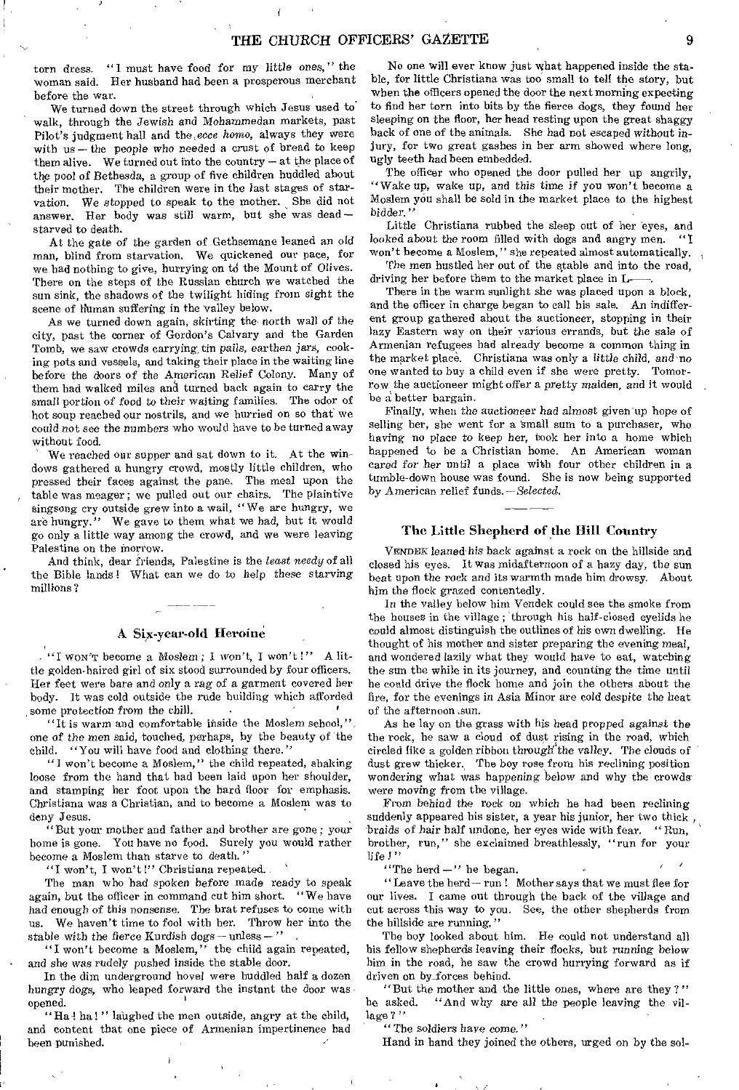torn dress. "I must have food for my tittle ones," the woman said. Her husband had been a prosperous merchant before the war.

We turned down the street through which Jesus used to' walk, through the Jewish and Mohammedan markets, past Pilot's judgment hall and the, *ecce homo,* always they were with us—the people who needed a crust of bread to keep them alive. We turned out into the country — at the place of the pool of Bethesda, a group of five children huddled about their mother. The children were in the last stages of starvation. We stopped to speak to the mother. She did not answer. Her body was still warm, but she was dead starved to death.

At the gate of the garden of Gethsemane leaned an old man, blind from starvation. We quickened our pace, for we had nothing to give, hurrying on to the Mount of Olives. There on the steps of the Russian church we watched the sun sink, the shadows of the twilight hiding from sight the scene of Human suffering in the valley below.

As we turned down again, skirting the north wall of the city, past the corner of Gordon's Calvary and the Garden Tomb, we saw crowds carrying, tin pails, earthen jars, cooking pots and vessels, and taking their place in the waiting line before the doors of the *American* Relief Colony. Many of them had walked miles and turned back again to carry the small portion of food to their waiting families. The odor of hot soup reached our nostrils, and we hurried on so that we could not see the numbers who would have to be turned away without food.

We reached our supper and sat down to it. At the windows gathered a hungry crowd, mostly little children, who pressed their faces against the pane. The meal upon the table was meager; we pulled out our chairs. The plaintive singsong cry outside grew into a wail, " We are hungry, we are hungry." We gave to them what we had, but it would go only a little way among the crowd, and we were leaving Palestine on the morrow.

And think, dear friends, Palestine is the *least needy* of all the Bible lands! What can we do to help these *starving*  millions?

#### A Six-year-old Heroine

"1 WON'T become a Moslem ; I won't, I won't I" A little golden-haired girl of six stood surrounded by four officers. Her feet were bare and *only a rag* of a garment covered her body. It was cold outside the rude building which afforded some protection *from* the chill.

"It is warm and comfortable inside the Moslem school," one of the *men* said, touched, perhaps, by the beauty of the child. "You will have food and clothing there."

"I won't become a Moslem," the child repeated, shaking loose from the hand that had been laid upon her shoulder, and stamping her foot upon the hard floor for emphasis. Christiana was a Christian, and to become a Moslem was to deny Jesus.

"But your mother and father and brother are gone; *your*  home is gone. You have no food. Surely you would rather become a Moslem than starve to death. "

"I won't, I won't!" Christiana repeated.

The man who had spoken before made ready to speak again, but the officer in command cut him short. " We have had enough of this nonsense. The brat refuses to come with us. We haven't time to fool with her. Throw her into the stable with the fierce Kurdish dogs — unless —  $\prime\prime$ 

"I won't become a Moslem," the child again repeated, and she was rudely pushed inside the stable door.

In the dim underground hovel were huddled half a dozen *hungry* dogs, who leaped forward the instant the door was opened.

"Ha! ha!" laughed the men outside, angry at the child, and content that one piece of Armenian impertinence had been punished.

No one will ever know just what happened inside the stable, for little Christiana was too small to tell the story, but when the officers opened the door the next morning expecting to find her torn into bits by the fierce dogs, they found her sleeping on the floor, her head resting upon the great shaggy back of one of the animals. She had not escaped without injury, for two great gashes in her arm showed where long, ugly teeth had been embedded.

The officer who opened the door pulled her up angrily, "Wake up, wake up, and this time if you won't become a Moslem you shall be sold in the market place to the highest bidder."

Little Christiana rubbed the sleep out of her eyes, and looked about the room filled with dogs and angry men. won't become a Moslem," she repeated almost automatically.

The men hustled her out of the stable and into the road, driving her before them to the market place in L—.

There in the warm sunlight she was placed upon a block, and the officer in charge began to call his sale. An indifferent group gathered about the auctioneer, stopping in their lazy Eastern way on their various errands, but the sale of Armenian refugees had already become a common thing in the market place. Christiana was only a little child, and no one wanted to buy a child even if she were pretty. Tomorrow the auctioneer might offer a *pretty* maiden, and it would be a: better bargain.

Finally, when the auctioneer had almost given up hope of selling her, she went for a small sum to a purchaser, who having no place to keep her, took her into a home which happened to be a Christian home. An American woman eared *for* her until a place with four other children in a tumble-down house *was* found. She is now being supported by American relief funds. *—Selected.* 

#### The Little Shepherd of the Hilt Country

VENDEK leaned his back against a rock on the hillside and closed his eyes. It was midafternoon of a hazy day, the sun beat upon the rock and its warmth made him drowsy. About him the flock grazed contentedly.

In the valley below him Vendek could see the smoke from the houses in the village ; through his half-closed eyelids he could almost distinguish the outlines of his own dwelling. He thought of his mother and sister preparing the evening meal, and wondered lazily what they would have to eat, watching the sun the while in its journey, and counting the time until he could drive the flock home and join the others about the fire, for the evenings in Asia Minor are cold despite the heat of the afternoon .sun.

As he lay on the grass with his head propped *against* the the rock, he saw a cloud of dust rising in the road, which circled like a golden ribbon through the valley. The clouds of dust grew thicker. The boy rose from his reclining position wondering what *was* happening below and why the crowds were moving from the village.

From behind the rock on which he had been reclining suddenly appeared his sister, a year his junior, her two thick  $\frac{1}{k}$ braids of hair half undone, her eyes wide with fear. "Run, brother, run," she exclaimed breathlessly, "run for your life ! "

"The herd  $-$ " he began.

"Leave the herd— run ! Mother says that we must flee for our lives. I came out through the back of the village and cut across this way to you. See, the other shepherds from the hillside are running."

The boy looked about him. He could not understand all his fellow shepherds leaving their flocks, but *running* below him in the road, he saw the crowd hurrying forward as if driven on by forces behind.

"But the mother and the little ones, where are they?"<br>he asked. "And why are all the people leaving the vil-"And why are all the people leaving the village?"

"The soldiers have come."

Hand in hand they joined the others, urged on by the sol-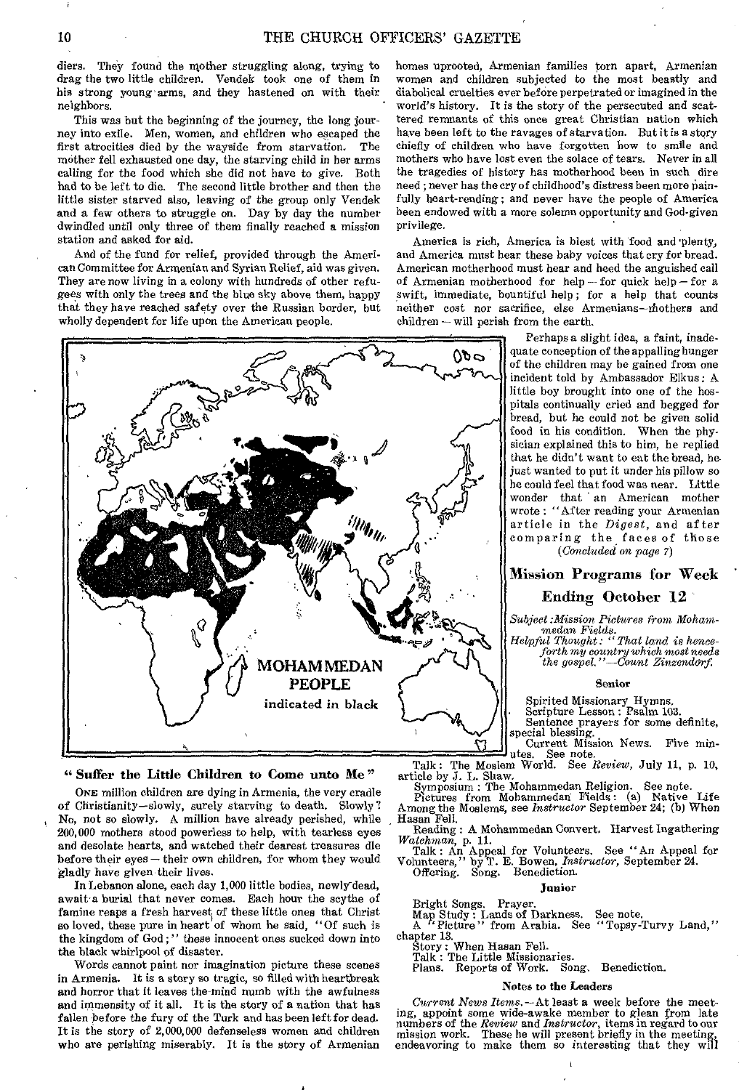diers. They found the mother struggling along, trying to drag the two little children. Vendek took one of them in his strong young arms, and they hastened on with their neighbors.

This was but the beginning of the journey, the long journey into exile. Men, women, and children who escaped the first atrocities died by the wayside from starvation. mother fell exhausted one day, the starving child in her arms calling for the food which she did not have to *give.* Both had to be left to die. The second little brother and then the little sister starved also, leaving of the group only Vendek and a few others to struggle on. Day by day the number dwindled until only three of them finally reached a mission station and asked for aid.

And of the fund for relief, provided through the American Committee for Armenian and Syrian Relief, aid was given. They are now living in a colony with hundreds of other refugees with only the trees and the blue sky above them, happy that they have reached safety over the Russian border, but wholly dependent for life upon the American people.

00 O **CONTROLL** الا<sup>لان</sup>ي<br>پرال<sup>والي</sup> Q **MOHAM MEDAN** PEOPLE indicated in black

#### "Suffer the Little Children to Come unto Me"

ONE million children are dying in Armenia, the very cradle of Christianity—slowly, surely starving to death. Slowly? No, not so slowly. A million have already perished, while 200,000 mothers stood powerless to help, with tearless eyes and desolate hearts, and watched their dearest treasures die before their eyes — their own children, for whom they would gladly have given their lives.

In Lebanon alone, each day 1,000 little bodies, newly-dead, await a burial that *never* comes. Each hour the scythe of famine reaps a fresh harvest of these little ones that Christ so loved, these pure in heart of whom he said, "Of such is the kingdom of God ; " these innocent ones sucked down into the black whirlpool of disaster.

Words cannot paint nor imagination picture these scenes in Armenia. It is a story so tragic, so filled with heartbreak and horror that it leaves the-mind numb with the awfulness and immensity of it all. It is the story of a nation that has fallen before the fury of the Turk and has been left for dead. It is the story of 2,000,000 defenseless women and children who are perishing miserably. It is the story of Armenian

homes uprooted, Armenian families torn apart, Armenian women and children subjected to the most beastly and diabolical cruelties ever before perpetrated or imagined in the world's history. It is the story of the persecuted and scattered remnants of this once great Christian nation which have been left to the ravages of starvation. But it is a story chiefly of children who have forgotten how to smile and mothers who have lost even the solace of tears. Never in all the tragedies of history has motherhood been in such dire need ; never has the cry of childhood's distress been more painfully heart-rending; and never have the people of America been endowed with a more solemn opportunity and God-given privilege.

America is rich, America is blest with food and plenty, and America must hear these baby voices that cry for bread. American motherhood must hear and heed the anguished call of Armenian motherhood for help — for quick help — for a swift, immediate, bountiful help; for a help that counts neither cost nor sacrifice, else Armenians—rhothers and children — will perish from the earth.

> Perhaps a slight idea, a faint, inadequate conception of the appalling hunger of the children may be gained from one incident told by Ambassador Elkus: A little boy brought into one of the hospitals continually cried and begged for bread, but he could not be given solid food in his condition, When the physician explained this to him, he replied that he didn't want to eat the bread, he just wanted to put it under his pillow so he could feel that food was near. Little wonder that an American mother wrote : "After reading your Armenian article in the *Digest,* and after comparing the faces of those *(Concluded* on *page 7)*

## Mission Programs for Week Ending October 12

*Subject:Mission Pictures from Moham-*

*medan Fields. Helpful Thought: "That land is henceforth my country which most needs the gospel."—Count Zinzendarf,* 

#### Senior

Spirited Missionary Hymns. Scripture Lesson : Psalm 103.

Sentence prayers for some definite,

special blessing. Current Mission News. Five min-utes. See note.

Talk: The Moslem World. See *Review,* July 11, p. 10, article by J. L. Shaw. Symposium : The Mohammedan Religion. See note. Pictures from Mohammedan Fields: (a) Native Life

Among the Moslems, see *Instructor* September 24; (b) When Hasan Fell.

- Reading : A Mohammedan Convert. Harvest Ingathering *Watchman, p.* 11.
- Talk : An Appeal for Volunteers. See "An Appeal for Volunteers," by T. E. Bowen, *Instructor,* September 24. Offering. Song. Benediction.
	- Junior

Bright Songs. Prayer. Map Study : Lands of Darkness. See note. A " Picture" from Arabia. See " Topsy-Turvy Land,"

chapter 13.

Story: When Hasan Fell. Talk : The Little Missionaries.

Plans. Reports of Work. Song. Benediction.

## Notes to the Leaders

*Current News Items.* —At least a week before the meeting, appoint some wide-awake member to glean from late<br>numbers of the *Review* and *Instructor*, items in regard to our<br>mission work. These he will present briefly in the meeting,<br>endeavoring to make them so interesting th

 $\mathbf{I}$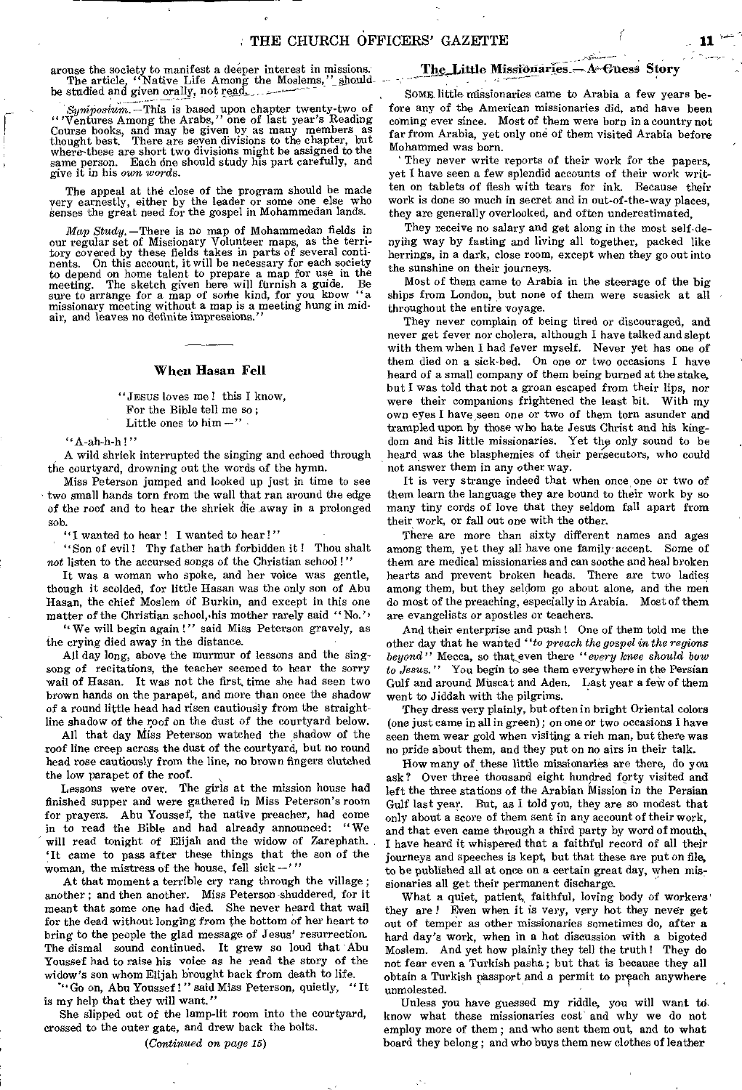arouse the society to manifest a deeper interest in missions.<br>The article, "Native Life Among the Moslems," should-<br>be studied and given orally, not read.

*Syniposium.* —This is based upon chapter twenty-two of "'Ventures Among the Arabs," one of last year's Reading Course books, and may be given by as many members as thought best. There are seven divisions to the chapter, but where-these are short two divisions might be assigned to the same person. Each dne should study his part carefully, and give it in his own *words.* 

The appeal at the close of the program should be made very earnestly, either by the leader or some one else who *Senses* the great need for the gospel in Mohammedan lands.

*Map Study.* —There is no map of Mohammedan fields in our regular set of Missionary Volunteer maps, as the tern-tory covered by these fields takes in parts of several continents. On this account, it will be necessary for each society to depend on home talent to prepare a map for use in the meeting. The sketch given here will furnish a guide. Be sure to arrange for a map of some kind, for you know "a missionary meeting without a map is a meeting hung in midair, and leaves no definite impressions."

#### When Hasan Fell

"JESUS loves me ! this I know, For the Bible tell me so ; Little ones to  $him -$ "

"A-ah-h-h !"

A wild shriek interrupted the singing and echoed through the courtyard, drowning out the words of the hymn.

Miss Peterson jumped and looked up just in time to see two small hands torn from the wall that ran around the edge of the roof and to hear the shriek die away in a prolonged sob.

"I wanted to hear ! I wanted to hear !"

"Son of evil! Thy father hath forbidden it! Thou shalt not listen to the accursed songs of the Christian school!"

It was a woman who spoke, and her voice was gentle, though it scolded, for little Hasan was the only son of Abu Hasan, the chief Moslem df Burkin, and except in this one matter of the Christian school, his mother rarely said "No."

" We will begin again !" said Miss Peterson gravely, as the crying died away in the distance.

All day long, above the murmur of lessons and the singsong of recitations, the teacher seemed to hear the sorry wail of Hasan. It was not the first, time she had seen two brown hands on the parapet, and more than once the shadow of a round little head had risen cautiously from the straightline shadow of the roof on the dust of the courtyard below.

All that day Miss Peterson watched the shadow of the roof line creep across the dust of the courtyard, but no round head rose cautiously from the line, no brown fingers clutched the low parapet of the roof.

Lessons were over. The girls at the mission house had finished supper and were gathered in Miss Peterson's room for prayers. Abu Youssef, the native preacher, had come in to read the Bible and had already announced: "We will read tonight of Elijah and the widow of Zarephath. 'It came to pass after these things that the son of the woman, the mistress of the house, fell sick  $-$ ''

At that moment a terrible cry rang through the village ; another ; and then another. Miss Peterson shuddered, for it meant that some one had died. She never heard that wail for the dead without longing from the bottom of her heart to bring to the people the glad message of Jesus' resurrection. The dismal sound continued. It grew so loud that Abu Youssef had to raise his voice as he read the story of the widow's son whom Elijah brought back from death to life.<br>"'Go on Abu Youssef!'' said Miss Peterson, quietly, "It"

"Go on, Abu Youssef!" said Miss Peterson, quietly, is my help that they will want."

She slipped out of the lamp-lit room into the courtyard, crossed to the outer gate, and drew back the bolts.

## *(Continued on page 15)*

## The Little Missionaries - A Guess Story

SOME little missionaries came to Arabia a few years before any of the American missionaries did, and have been coming ever since. Most of them were born in a country not far from Arabia, yet only one of them visited Arabia before Mohammed was born.

They never write reports of their work for the papers, yet I have seen a few splendid accounts of their work written on tablets of flesh with tears for ink. Because their work is done so much in secret and in out-of-the-way places, they are generally overlooked, and often underestimated,

They receive no salary and get along in the most self-denying way by fasting and living all together, packed like herrings, in a dark, close room, except when they go out into the sunshine on their journeys.

Most of them came to Arabia in the steerage of the big ships from London, but none of them were seasick at all throughout the entire voyage.

They never complain of being tired or discouraged, and never get fever nor cholera, although I have talked and slept with them when I had fever myself. Never yet has one of them died on a sick-bed. On one or two occasions I have heard of a small company of them being burned at the stake, but I was told that not a groan escaped from their lips, nor were their companions frightened the least bit. With my own eyes I have seen one or two of them torn asunder and trampled upon by those who hate Jesus Christ and his kingdom and his little missionaries. Yet the only sound to be heard, was the blasphemies of their persecutors, who could not answer them in any other way.

It is very strange indeed that when once one or two of them learn the language they are bound to their work by so many tiny cords of love that they seldom fall apart from their work, or fall out one with the other.

There are more than sixty different names and ages among them, yet they all have one family-accent. Some of them are medical missionaries and can soothe and heal broken hearts and prevent broken heads. There are two ladies among them, but they seldom go about alone, and the men do most of the preaching, especially in Arabia. Most of them are evangelists or apostles or teachers.

And their enterprise and push ! One of them told me the other day that he wanted *"to preach the gospel in the regions beyond"* Mecca, so that even there "every *knee should bow to Jesus."* You begin to see them everywhere in the Persian Gulf and around Muscat and Aden. Last year a few of them went to Jiddah with the pilgrims.

They dress very plainly, but often in bright Oriental colors (one just came in all in green); on one or two occasions I have seen them wear gold when visiting a rich man, but there was no pride about them, and they put on no airs in their talk.

How many of these little missionaries are there, do you ask? Over three thousand eight hundred forty visited and left the three stations of the Arabian Mission in the Persian Gulf last year. But, as I told you, they are so modest that only about a score of them sent in any account of their work, and that even came through a third party by word of mouth, I have heard it whispered that a faithful record of all their journeys and speeches is kept, but that these are put on file, to be published all at once on a certain great day, when missionaries all get their permanent discharge.

What a quiet, patient, faithful, loving body of workers' they are ! Even when it is very, very hot they never get out of temper as other missionaries sometimes do, after a hard day's work, when in a hot discussion with a bigoted Moslem. And yet how plainly they tell the truth ! They do not fear even a Turkish pasha ; but that is because they all obtain a Turkish passport and a permit to preach anywhere unmolested.

Unless you have guessed my riddle, you will want to know what these missionaries cost and why we do not employ more of them ; and who sent them out, and to what board they belong ; and who buys them new clothes of leather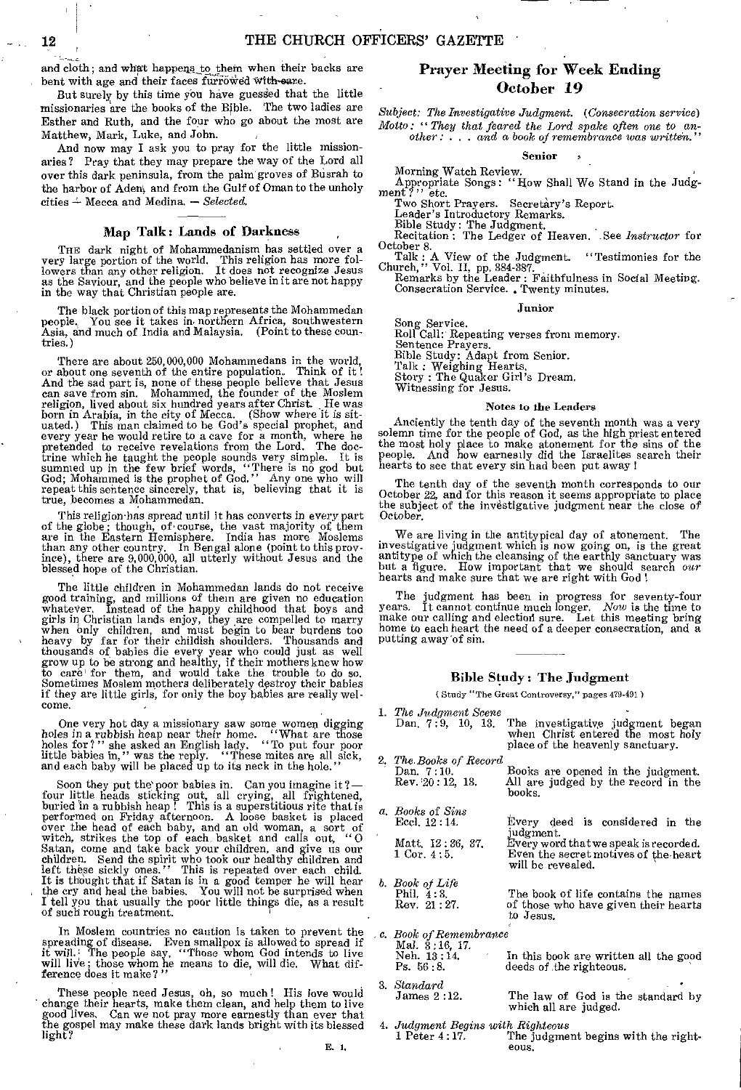and cloth; and what happens to them when their backs are bent with age and their faces furrowed with-sare.

But surely by this time you have guessed that the little missionaries are the books of the Bible. The two ladies are Esther and Ruth, and the four who go about the most are Matthew, Mark, Luke, and John.

And now may I ask you to pray for the little missionaries? Pray that they may prepare the way of the Lord all over this dark peninsula, from the palm' groves of Busrah to the harbor of Aden', and from the Gulf of Oman to the unholy cities 2- Mecca and Medina. — *Selected.* 

#### Map Talk: Lands of Darkness

THE dark night of Mohammedanism has settled over a very large portion of the world. This religion has more followers than any other religion. It does not recognize Jesus as the Saviour, and the people who believe in it are

The black portion of this map represents the Mohammedan people. You see it takes in. northern Africa, southwestern Asia, and much of India and Malaysia. (Point to these countries.)

There are about 250,000,000 Mohammedans in the world, or about one seventh of the entire population. Think of it ! And the sad part is, none of these people believe that Jesus<br>can save from sin. Mohammed, the founder of the Moslem<br>religion, lived about six hundred years after Christ. He was<br>born in Arabia, in the city of Mecca. (Show w every year he would retire to a cave for a month, where he pretended to receive revelations from the Lord. The doctrine which he taught the people sounds very simple. It is summed up in the few brief words, "There is no god but God; Mohammed is the prophet of God." Any one who will repeat this sentence sincerely, that is, believing th true, becomes a Mohammedan.

'his religion has spread until it has converts in every part of the globe; though, of course, the vast majority of them are in the Eastern Hemisphere. India has more Moslems than any other country. In Bengal alone (point to this province), there are 9,000,000, all utterly without Jesus and the blessed hope of the Christian.

The little children in Mohammedan lands do not receive good training, and millions of them are given no education whateter, Instead of the happy childhood that boys and girls in Christian lands enjoy, they are compelled to marry when only children, and must begin to bear burdens too heavy by far for their childish shoulders. Thousands and thousands of babies die every year who could just

One very hot day a missionary saw some women digging<br>holes in a rubbish heap near their home. "What are those<br>holes for?" she asked an English lady. "To put four poor<br>little babies in," was the reply. "These mites are all and each baby will be placed up to its neck in the hole."

Soon they put the poor babies in. Can you imagine it ?—<br>four little heads sticking out, all crying, all frightened,<br>buried in a rubbish heap! This is a superstitious rite that is performed on Friday afternoon. A loose basket is placed<br>over the head of each baby, and an old woman, a sort of<br>witch, strikes the top of each basket and calls out, "O<br>Satan, come and take back your children, and give us o It is thought that if Satan is in a good temper he will hear the cry and heal the babies. You will not be surprised when I tell you that usually the poor little things die, as a result of such rough treatment.

In Moslem countries no caution is taken to prevent the spreading of disease. Even smallpox is allowed to spread if it will. The people say, "Those whom God intends to live will live; those whom he means to die, will die. What dif-ference does it make? "

These people need Jesus, oh, so much! His love would change their hearts, make them clean, and help them to live good lives. Can we not pray more earnestly than ever that the gospel may make these dark lands bright with its blessed light?

## Prayer Meeting for Week Ending October 19

*Subject: The Investigative Judgment. (Consecration* service) *Motto: "They that feared the Lord spake often one to another : . . and a book of remembrance was written."* 

Senior

Morning Watch Review.<br>Appropriate Songs: "How Shall We Stand in the Judg-<br>ment ?" etc.

Two Short Prayers. Secretary's Report.

Leader's Introductory Remarks.<br>Bible Study: The Judgment.<br>Recitation : The Ledger of Heaven. See *Instructor* for

October 8.<br>
Talk : A View of the Judgment. "Testimonies for the<br>
Church," Vol. II, pp. 384-387.<br>
Remarks by the Leader : Faithfulness in Social Meeting.<br>
Consecration Service. Twenty minutes.

#### Junior

Song Service. Roll Call:' Repeating verses from memory. Sentence Prayers. Bible Study: Adapt from Senior. Talk : Weighing Hearts. Story : The Quaker Girl's Dream. Witnessing for Jesus.

#### Notes to the Leaders

Anciently the tenth day of the seventh month was a very solemn time for the people of God, as the high priest entered the most holy place to make atonement for the sins of the people. And how earnesily did the Israelites s hearts to see that every sin had been put away !

The tenth day of the seventh month corresponds to our October 22, and for this reason it seems appropriate to place the subject of the investigative judgment near the close of October.

We are living in the antitypical day of atonement. The investigative judgment which is now going on, is the great antitype of which the cleansing of the earthly sanctuary was but a figure. How important that we should search *our*  hearts and make sure that we are right with God !

The judgment has been in progress for seventy-four years. It cannot continue much longer. Now is the time to make our calling and election sure. Let this meeting bring home to each heart the need of a deeper consecration, and a putting away 'of sin.

#### Bible Study : The Judgment

( Study The Great Controversy," pages 479-491)

| 1. The Judgment Scene<br>Dan, $7:9$ , $10$ , $13$ ,    | The investigative judgment began<br>when Christ entered the most holy<br>place of the heavenly sanctuary.       |
|--------------------------------------------------------|-----------------------------------------------------------------------------------------------------------------|
| 2. The Books of Record<br>Dan, 7:10.<br>Rev 20:12, 13. | Books are opened in the judgment.<br>All are judged by the record in the<br>books.                              |
| a. Books of Sins<br>Eccl. 12:14.                       | Every deed is considered in the                                                                                 |
| Matt, 12:36, 37,<br>$1 \, \mathrm{Cor.} \, 4:5.$       | judgment.<br>Every word that we speak is recorded.<br>Even the secret motives of the heart<br>will be revealed. |
| b. Book of Life<br>Phil. $4:3$ .<br>Rev. 21:27.        | The book of life contains the names<br>of those who have given their hearts<br>to Jesus.                        |
| c. Book of Remembrance.                                |                                                                                                                 |
| Mal. $3:16$ , 17.<br>Neh. 13:14.<br>Ps. 56:8.          | In this book are written all the good<br>deeds of the righteous.                                                |
| 3. Standard<br>James 2:12.                             | The law of God is the standard by<br>which all are judged.                                                      |

*4. Judgment Begins with Righteous*  The judgment begins with the righteons.

 $\mathbf{r}$ 

E. 1.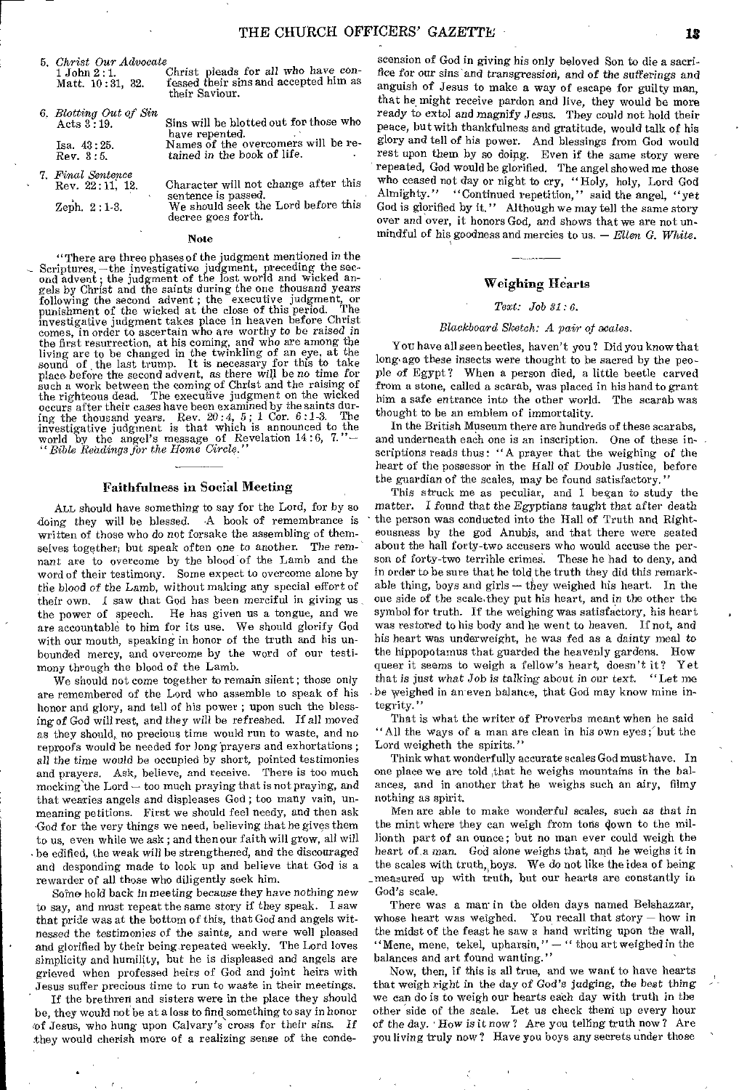*5. Christ* Our *Advocate* 

 $1$  John  $2:1$ . Christ pleads for all who have con-<br>Matt.  $10:31$ ,  $32$ . fessed their sins and accepted him as fessed their sins and accepted him as their Saviour.

*6. Blotting Out of Sin* Acts 3:19.

Isa. 48 : 25. Rev. 3:5.

*7. Final Sentence*  Rev. 22 : 11, 12.

Zeph. 2 :1-3.

Sins will be blotted out for those who

have repented. Names of the overcomers will be retained in the book of life.

Character will not change after this sentence is passed.

We should seek the Lord before this decree goes forth.

#### Note

"There are three phases of the judgment mentioned in the Scriptures, —the investigative judgment, preceding the sec-ond advent; the judgment of the lost world and wicked angels by Christ and the saints during the one thousand years following the second advent ; the executive judgment, or punishment of the wicked at the close of this period. The investigative judgment takes place in heaven before Christ comes, in order to ascertain who are worthy to be *raised in*  the first resurrection, at his coming, and who are among the living are to be changed in the twinkling of an eye, at the sound of the last trump. It is necessary for this to take place before the second advent, as there wi such a work between the coming of Christ and the raising of the righteous dead. The executive judgment on the wicked occurs after their cases have been examined by the saints dur-Since the thousand years. Rev. 20:4, 5; 1 Cor. 6:1-3. The investigative judgment is that which is announced to the world by the angel's message of Revelation 14:6, 7."—<br>"Bible Readings for the Home Circle."

#### Faithfulness in Social Meeting

AIL should have something to say for the Lord, for by so doing they will be blessed. •A book of remembrance is written of those who do not forsake the assembling of them-<br>selves together, but speak often one to another. The remselves together; but speak often one to another. nant are to overcome by the blood of the Lamb and the word of their testimony. Some expect to overcome alone by the blood *of* the Lamb, without making any special effort of their own. I saw that God has been merciful in giving us, the power of speech. He has given us a tongue, and we are accountable to him for its use. We should glorify God with our mouth, speaking in honor of the truth and his unbounded mercy, and overcome by the word of our testimony through the blood of the Lamb.

We should not come together to remain silent ; those only are remembered of the Lord who assemble to speak of his honor and glory, and tell of his power ; upon such the blessing of God will rest, and they will be refreshed. If all *moved*  as they should, no precious time would run to waste, and no reproofs would be needed for long 'prayers and exhortations ; all the *time* would be occupied by short, pointed testimonies and prayers. Ask, believe, and receive. There is too much mocking the  $Lord - too$  much praying that is not praying, and that wearies angels and displeases God ; too many vain, unmeaning petitions. First we should feel needy, and then ask God for the very things we need, believing that he gives them to us, even while we ask ; and then our faith will grow, all will • be edified, the weak will be strengthened, and the discouraged and desponding made to look up and believe that God is a rewarder of all those who diligently seek him.

Some hold back in meeting because they have *nothing new*  to say, and must repeat the same story if they speak. I saw that pride was at the bottom of this, that God and angels witnessed the testimonies of the saints, and were well pleased and glorified by their being repeated weekly. The Lord loves simplicity and humility, but he is displeased and angels are grieved when professed heirs of God and joint heirs with Jesus suffer precious time to run to waste in their meetings.

If the brethren and sisters were in the place they should be, they would not be at a loss to find something to say in honor ref Jesus, who hung upon Calvary's cross for their *sins.* If they would cherish more of a realizing sense of the condeseension of God in giving his only beloved Son to die a sacrifice for our *sins* and transgression, and *of* the *sufferings* and anguish of Jesus to make a way of escape for guilty man, that he might receive pardon and live, they would be more ready to extol and magnify Jesus. They could not hold their peace, but with thankfulness and gratitude, would talk of his glory and tell of his power. And blessings from God would rest upon them by so doing. Even if the same story were repeated, God would be glorified. The angel showed me those who ceased not day or night to cry, "Holy, holy, Lord God Almighty." "Continued repetition," said the angel, "yet God is glorified by it." Although we may tell the same story over and over, it honors God, and shows that we are not unmindful of his goodness and mercies to us. — *Ellen G. White.* 

### Weighing Hearts

#### *Text: Job 31: 6.*

#### *Blackboard Sketch: A pair of scales.*

You have all seen beetles, haven't you? Did you know that long- ago these insects were thought to be sacred by the people of Egypt? When a person died, a little beetle carved from a stone, called a scarab, was placed in his hand to grant him a safe entrance into the other world. The scarab was thought to be an emblem of immortality.

In the British Museum there are hundreds of these scarabs, and underneath each one is an inscription. One of these inscriptions reads thus: "A prayer that the weighing of the heart of the possessor in the Hall of Double Justice, before the guardian of the scales, may be found satisfactory."

This struck me as peculiar, and I began to study the matter. I *found* that the *Egyptians* taught that *after* death the person was conducted into the Hall of Truth and Righteousness by the god Anuhis, and that there were seated about the hall forty-two accusers who would accuse the person of forty-two terrible crimes. These he had to deny, and in order to be sure that he told the truth they did this remarkable thing, boys and girls  $-$  they weighed his heart. In the one side of the scale-they put his heart, and in the other the symbol for truth. If the weighing was satisfactory, his heart was restored to his body and he went to heaven. If not, and his heart was underweight, he was fed as a dainty meal to the hippopotamus that guarded the heavenly gardens. How queer it seems to weigh a fellow's heart, doesn't it? Yet that is just what Job is talking about in our text. "Let me that *is just what Job is talking about in our text.* be weighed in an even balance, that God may know mine integrity."

That is what the writer of Proverbs meant when he said "All the ways of a man are clean in his own eyes; but the Lord weigheth the spirits."

Think what wonderfully accurate scales God musthave. In one place we are told that he weighs mountains in the balances, and in another that he weighs such an airy, filmy nothing as spirit.

Men are able to make wonderful scales, such as that *in*  the mint where they can weigh from tons down to the millionth part of an ounce; but no man ever could weigh the heart *of a* man. God alone weighs that, and he weighs it in the scales with truth,,boys. We do not like the idea of being \_measured up with truth, but our hearts are constantly in God's scale.

There was a man in the olden days named Belshazzar, whose heart was weighed. You recall that story  $-$  how in the midst of the feast he saw a hand writing upon the wall, "Mene, mene, tekel, upharsin," - " thou art weighed in the balances and art found wanting."

Now, then, if this is all true, and we want to have hearts that weigh right in the day of God's *judging,* the best *thing we* can do is to weigh our hearts each day with truth in the other side of the scale. Let us check theni up every hour *of the day.* How *is* it now ? Are you telling truth now? Are you living truly now? Have you boys any secrets under those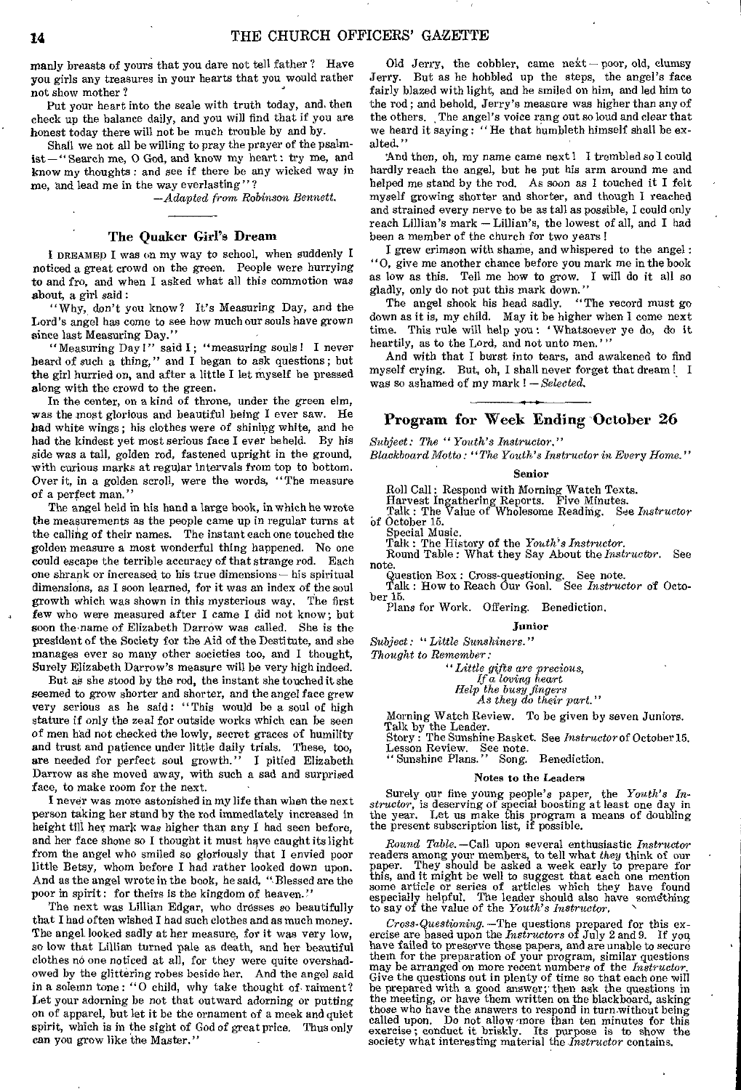manly breasts of yours that you dare not tell father ? Have you girls any treasures in your hearts that you would rather not show mother ?

Put your heart into the scale with truth today, and. then check up the balance daily, and you will find that if you are honest today there will not be much trouble by and by.

Shall we not all be willing to pray the prayer of the psalmist—" Search me, 0 God, and know my heart : try me, and know my thoughts : and see if there be any wicked way in me, and lead me in the way everlasting"?

*—Adapted from Robinson Bennett.* 

#### The Quaker Girl's Dream

I DREAMED I was on my way to school, when suddenly I noticed a great crowd on the green. People were hurrying to and fro, and when I asked what all this commotion was about, a girl said :

"Why, don't you know? It's Measuring Day, and the Lord's angel has come to see how much our souls have grown since last Measuring Day."

"Measuring Day!" said I; "measuring souls! I never heard of such a thing," and I began to ask questions; but the girl hurried on, and after a little I let myself be pressed along with the crowd to the green.

In the center, on a kind of throne, under the green elm, was the most glorious and beautiful being I ever saw. He had white wings ; his clothes were of shining white, and he had the kindest yet most serious face I ever beheld. By his side was a tall, golden rod, fastened upright in the ground, with curious marks at regular intervals from top to bottom. Over it, in a golden scroll, were the words, "The measure of a perfect man."

The angel held in his hand a large book, in which he wrote the measurements as the people came up in regular turns at the calling of their names. The instant each one touched the golden measure a most wonderful thing happened. No one could escape the terrible accuracy of that strange rod. Each one shrank or increased, to his true dimensions — his spiritual dimensions, as I soon learned, for it was an index of the soul growth which was shown in this mysterious way. The first few who were measured after I came I did not know; but soon the name of Elizabeth Darrow was called. She is the president of the Society for the Aid of the Destitute, and she manages ever so many other societies too, and I thought, Surely Elizabeth Darrow's measure will be very high indeed.

But as she stood by the rod, the instant she touched it she seemed to grow shorter and shorter, and the angel face grew very serious as he said: "This would be a soul of high stature if only the zeal for outside works which can be seen of men had not checked the lowly, secret graces of humility and trust and patience under little daily trials. These, too, are needed for perfect soul growth." I pitied Elizabeth Darrow as she moved away, with such a sad and surprised face, to make room for the next.

I never was more astonished in my life than when the next person taking her stand by the rod immediately increased in height till her mark was higher than any I had seen before, and her face shone so I thought it must have caught its light from the angel who smiled so gloriously that I envied poor little Betsy, whom before I had rather looked down upon. And as the angel wrote in the book, he said, "Blessed are the poor in spirit: for theirs is the kingdom of heaven.'

The next was Lillian Edgar, who dresses so beautifully that I had often wished I had such clothes and as much money. The angel, looked sadly at her measure, for it was very low, so low that Lillian turned pale as death, and her beautiful clothes no one noticed at all, for they were quite overshadowed by the glittering robes beside her. And the angel said in a solemn tone : "0 child, why take thought of raiment? Let your adorning be not that outward adorning or putting on of apparel, but let it be the ornament of a meek and quiet spirit, which is in the sight of God of great price. Thus only can you grow like the Master."

Old Jerry, the cobbler, came  $\text{next}-\text{poor},$  old, clumsy Jerry. But as he hobbled up the steps, the angel's face fairly blazed with light, and he smiled on him, and led him to the rod ; and behold, Jerry's measure was higher than any of the others. The angel's voice rang out so loud and clear that we heard it saying : "He that humbleth himself shall be exalted."

And then, oh, my name came next! I trembled so I could hardly reach the angel, but he put his arm around me and helped me stand by the rod. As soon as I touched it I felt myself growing shorter and shorter, and though I reached and strained every nerve to be as tall as possible, I could only reach Lillian's mark — Lillian's, the lowest of all, and I had been a member of the church for two years !

I grew crimson with shame, and whispered to the angel : "0, give me another chance before you mark me in the book as low as this. Tell me how to grow. I will do it all so gladly, only do not put this mark down."

The angel shook his head sadly. "The record must go down as it is, my child. May it be higher when I come next time. This rule will help you : ' Whatsoever ye do, do it heartily, as to the Lord, and not unto men.'"

And with that I burst into tears, and awakened to find myself crying. But, oh, I shall never forget that dream 1 I was so ashamed of my mark ! — *Selected.* 

## Program for Week Ending "October 26

*Subject: The "Youth's Instructor."* 

*Blackboard Motto: "The Youth's Instructor in Every Home."* 

#### Senior

Roll Call: Respond with Morning Watch Texts. Harvest Ingathering Reports. Five Minutes. Talk : The Value of Wholesome Reading. See *Instructor*  Of October 15.

Special Music. Talk : The History of the *Youth's Instructor.*  Round Table: What they Say About the *Instructor.* See note.

Question Box: Cross-questioning. See note. Talk : How to Reach Our Goal. See *Instructor of* Octo-

ber 15.

Plans for Work. Offering. Benediction.

#### Junior

*Subject: "Little Sunshiners."* 

*Thought to Remember:* 

*"Little gifts are precious, If a loving* heart *Help the busy fingers As they do their part."* 

Morning Watch Review. To be given by seven Juniors. Talk by the Leader.

Story : The Sunshine Basket. See *Instructor* of October 15. Lesson Review. See note.

" Sunshine Plans." Song. Benediction.

#### Notes to the Leaders

Surely our fine young people's paper, the  $Youth's In-  
structor$ , is deserving of special boosting at least one day in<br>the year. Let us make this program a means of doubling<br>the present subscription list, if possible.

*Round Table.* —Call upon several enthusiastic *Instructor*  readers among your members, to tell what *they* think of our paper. They should be asked a week early to prepare for this, and it might be well to suggest that each one mention some article or series of articles which they have found especially helpful. The leader should also have something to say of the value of the *Youth's Instructor*.

*Cross-Questioning.* —The questions prepared for this ex-ercise are based upon the *Instructors* of July 2 and 9. If yon have failed to preserve these papers, and are unable to secure them for the preparation of your program, similar questions may be arranged on more recent numbers of the *Instructor.*  Give the questions out in plenty of time so that each one will be prepared with a good answer; then ask the questions in the meeting, or have them written on the blackboard, asking those who have the answers to respond in turn.without being called upon. Do not allow more than ten minutes for this exercise; conduct it briskly. Its purpose is to show the society what interesting material the *Instructor* contains.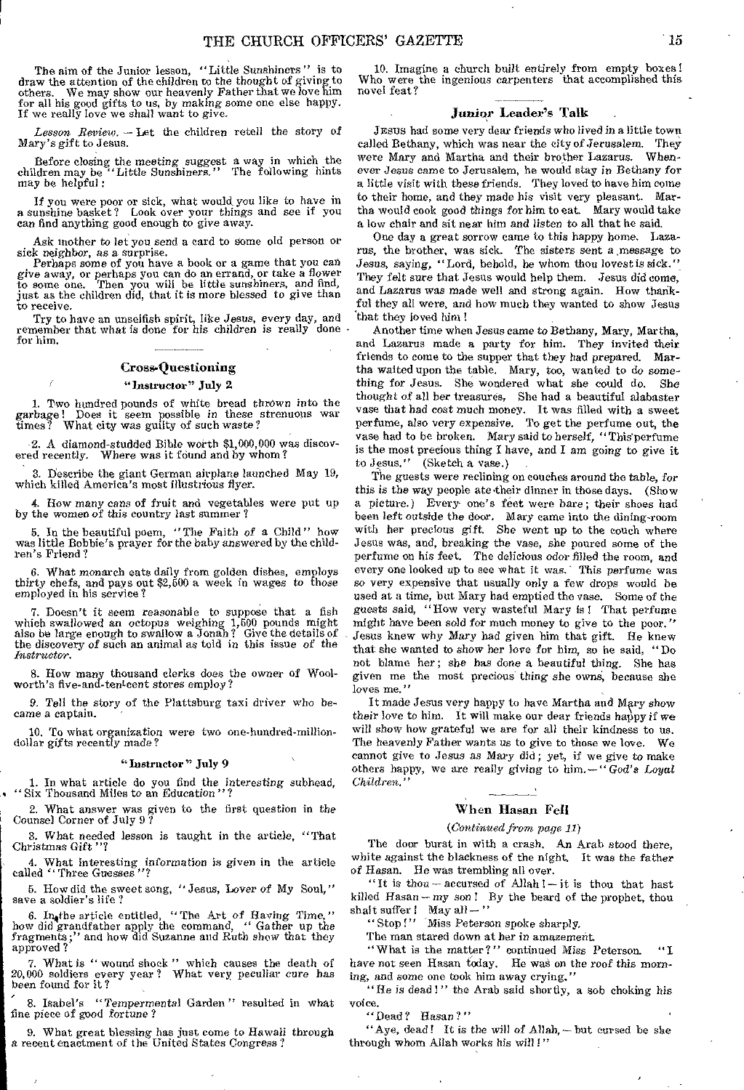The aim of the Junior lesson, "Little Sunshiners " is to draw the attention of the children to the thought of giving to others. We may show our heavenly Father that we love him for all his good gifts to us, by making some one else happy. If we really love we shall want to give.

*Lesson Review. —* Let the children retell the story of Mary's gift to Jesus.

Before closing the meeting suggest a way in which the children may be 'Little Sunshiners." The following hints may be helpful :

If you were poor or sick, what would, you like to have in a sunshine basket? Look over your *things* and see if you can find anything good enough to *give away.* 

Ask mother to let you send a card to Some old person or sick neighbor, as a surprise.

Perhaps some of you have a book or a game that you can *give* away, or perhaps you can do an errand, or take a flower to some one. Then you will be little sunshiners, and find, just as the children did, that it is more blessed to give than to receive.

Try to have an unselfish spirit, like Jesus, every day, and remember that what is done for his children is really done for him.

## Cross-Questioning

## "Instructor" July 2

1. Two hundred pounds of white bread thrown into the garbage! Does it seem possible in these strenuous war times? What city was guilty of such *waste?* 

2. A diamond-studded Bible worth \$1,000,000 was discov-Where was it found and by whom?

3. Describe the giant German airplane launched May 19, which killed America's most illustrious flyer.

4. How many cans of fruit and vegetables were put up by the women of this country last summer ?

5. In the beautiful poem, "The Faith of a Child" how was little Bobbie's prayer for the baby answered by the children's Friend?

6. What monarch eats daily from golden dishes, employs thirty chefs, and pays out \$2,500 a week in wages to those employed in his service?

7. Doesn't it seem reasonable to suppose that a fish which swallowed an octopus weighing 1,500 pounds might also be large enough to swallow a Jonah? Give the details of the discovery *of* such an animal as told in this issue of the *Instructor.* 

S. How many thousand clerks *does* the owner of Wool-worth's five-and-tentcent stores employ?

9. Tell the story of the Plattsburg taxi driver who became a captain.

10. To what organization were two one-hundred-milliondollar gifts recently made?

#### "Instructor" July 9

1. In what article do you find the interesting subhead, " Six Thousand Miles to an Education " ?

2. What answer was given to the first question in the Counsel Corner of July 9 ?

3. What needed lesson is taught in the article, "That Christmas Gift "?

4. What interesting information is given in the article called "Three Guesses "?

5. How did the sweet song, "Jesus, Lover of My Soul," save a soldier's life ?

6. In4the article entitled, "The Art of Having Time," how did grandfather apply the command, " Gather up the fragments;" and how did Suzanne and Ruth show that they approved ?

7. What is " wound shock " which causes the death of 20,000 soldiers every year? What very peculiar cure has been found for it?

8. Isabel's " Tempermental Garden" resulted in what fine piece of good fortune?

9. What great blessing has just come to Hawaii through a recent enactment of the United States Congress?

10. Imagine a church built entirely from empty boxes I Who were the ingenious carpenters that accomplished this novel feat?

### Junior Leader's Talk

JESUS had some very dear friends who lived in a little town called Bethany, which was near the city of Jerusalem. They were Mary and Martha and their brother Lazarus. Whenever Jesus came to Jerusalem, he would stay in Bethany for a little visit with these friends. They loved to have him come to their home, and they made his visit very pleasant. Martha would cook good things for him to eat. Mary would take a low chair and sit near him and listen to all that he said.

One day a great sorrow came to this happy home. Lazarus, the brother, was sick. The sisters sent a message to Jesus, saying, "Lord, behold, he whom thou lovest is sick." They felt sure that Jesus would help them. Jesus did come, and Lazarus was made well and strong again. How thankful they all were, and how much they wanted to show Jesus that they loved him !

Another time when Jesus came *to* Bethany, Mary, Martha, and Lazarus made a party for *him.* They invited their friends to come to the supper that they had prepared. Martha waited upon the table. Mary, too, wanted to do something for Jesus. She wondered what she could do. *She*  thought of all her treasures, She had a beautiful alabaster vase that had cost much money. It was filled with a sweet perfume, also very expensive. To get the perfume out, the vase had to be broken. Mary said to herself, "This perfume is the most precious thing I have, and I am going to give it to Jesus." (Sketch a vase.)

The guests were reclining on couches around the table, for this is the way people ate their dinner in those days. (Show a picture.) Every one's feet were bare; their shoes had been left outside the door. Mary came into the dining-room with her precious *gift.* She went up to the couch where Jesus was, and, breaking the vase, she poured some of the perfume on his feet. The delicious odor filled the room, and every one looked up to see what it was.' This perfume was so very expensive that usually only a few drops would be used at a time, but Mary had emptied the vase, Some of the guests said, "How very wasteful Mary is ! That perfume might have been sold for much money to give to the poor." Jesus knew why Mary had given him that gift. He knew that she wanted to show her love for him, so he said, "Do not blame her; she has done a beautiful thing. She has given me the most precious thing *she owns,* because she loves me."

It made Jesus very happy to have Martha and Mary show their love to him. It will make our dear friends happy if we will show how grateful we are for all their kindness to us. The heavenly Father wants us to give to those we love. We cannot give to Jesus *as* Mary did ; yet, if we give to make others happy, we are really *giving* to him.— " *God's Loyal Children."* 

#### When Hasan Fell

#### *(Continued from page 11)*

The door burst in with a crash. An Arab stood there, white against the blackness of the night. It was the *father of Hagan. He* was trembling all over.

"It is thou — accursed of Allah !— it is thou that hast killed Hasan — *my* son ! By the beard of the prophet, thou shalt suffer  $l$  May all  $-$  "

"Stop!" Miss Peterson spoke sharply.

The man stared down at her in amazement.

"What is the matter ?" continued *Miss* Peterson. "I have not seen Hasan today. He was on the roof this morn*ing,* and some one took him away crying."

"He is dead!" the Arab said shortly, a sob choking his voice.

"Dead? Hasan?"

"Aye, dead! It is the will of Allah, - but cursed be she through whom Allah works his will I"